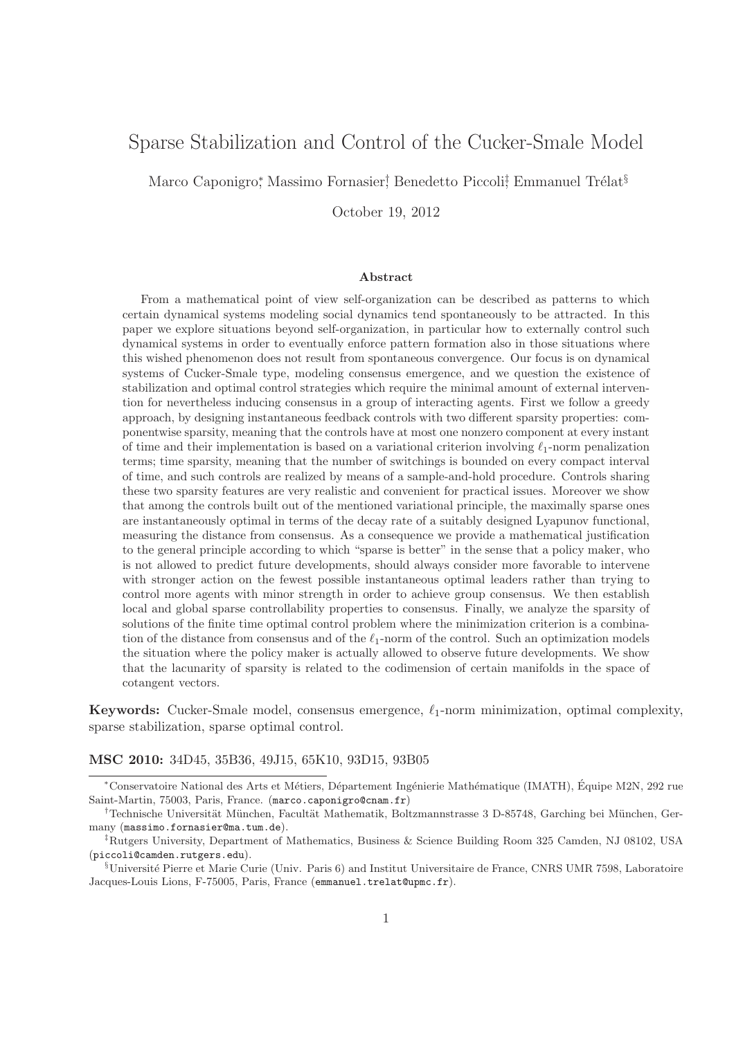# Sparse Stabilization and Control of the Cucker-Smale Model

Marco Caponigro\*, Massimo Fornasier! Benedetto Piccoli<del>!</del> Emmanuel Trélat<sup>§</sup>

October 19, 2012

#### Abstract

From a mathematical point of view self-organization can be described as patterns to which certain dynamical systems modeling social dynamics tend spontaneously to be attracted. In this paper we explore situations beyond self-organization, in particular how to externally control such dynamical systems in order to eventually enforce pattern formation also in those situations where this wished phenomenon does not result from spontaneous convergence. Our focus is on dynamical systems of Cucker-Smale type, modeling consensus emergence, and we question the existence of stabilization and optimal control strategies which require the minimal amount of external intervention for nevertheless inducing consensus in a group of interacting agents. First we follow a greedy approach, by designing instantaneous feedback controls with two different sparsity properties: componentwise sparsity, meaning that the controls have at most one nonzero component at every instant of time and their implementation is based on a variational criterion involving  $\ell_1$ -norm penalization terms; time sparsity, meaning that the number of switchings is bounded on every compact interval of time, and such controls are realized by means of a sample-and-hold procedure. Controls sharing these two sparsity features are very realistic and convenient for practical issues. Moreover we show that among the controls built out of the mentioned variational principle, the maximally sparse ones are instantaneously optimal in terms of the decay rate of a suitably designed Lyapunov functional, measuring the distance from consensus. As a consequence we provide a mathematical justification to the general principle according to which "sparse is better" in the sense that a policy maker, who is not allowed to predict future developments, should always consider more favorable to intervene with stronger action on the fewest possible instantaneous optimal leaders rather than trying to control more agents with minor strength in order to achieve group consensus. We then establish local and global sparse controllability properties to consensus. Finally, we analyze the sparsity of solutions of the finite time optimal control problem where the minimization criterion is a combination of the distance from consensus and of the  $\ell_1$ -norm of the control. Such an optimization models the situation where the policy maker is actually allowed to observe future developments. We show that the lacunarity of sparsity is related to the codimension of certain manifolds in the space of cotangent vectors.

**Keywords:** Cucker-Smale model, consensus emergence,  $\ell_1$ -norm minimization, optimal complexity, sparse stabilization, sparse optimal control.

MSC 2010: 34D45, 35B36, 49J15, 65K10, 93D15, 93B05

<sup>\*</sup>Conservatoire National des Arts et Métiers, Département Ingénierie Mathématique (IMATH), Équipe M2N, 292 rue Saint-Martin, 75003, Paris, France. (marco.caponigro@cnam.fr)

<sup>&</sup>lt;sup>†</sup>Technische Universität München, Facultät Mathematik, Boltzmannstrasse 3 D-85748, Garching bei München, Germany (massimo.fornasier@ma.tum.de).

<sup>‡</sup>Rutgers University, Department of Mathematics, Business & Science Building Room 325 Camden, NJ 08102, USA (piccoli@camden.rutgers.edu).

 $$$ Université Pierre et Marie Curie (Univ. Paris 6) and Institut Universitaire de France, CNRS UMR 7598, Laboratoire Jacques-Louis Lions, F-75005, Paris, France (emmanuel.trelat@upmc.fr).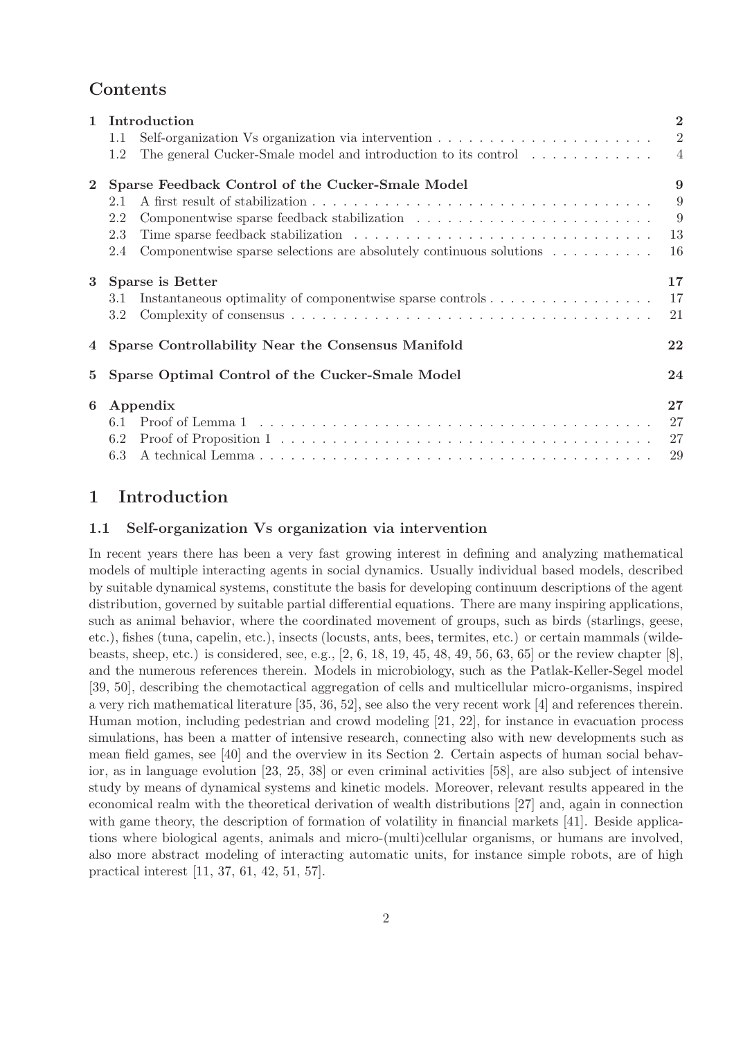# Contents

| $\mathbf{1}$   | Introduction                                                                                                     |                |  |  |  |  |
|----------------|------------------------------------------------------------------------------------------------------------------|----------------|--|--|--|--|
|                | Self-organization Vs organization via intervention $\ldots \ldots \ldots \ldots \ldots \ldots \ldots$<br>$1.1\,$ | $\overline{2}$ |  |  |  |  |
|                | The general Cucker-Smale model and introduction to its control<br>1.2                                            | $\overline{4}$ |  |  |  |  |
| $\mathbf{2}$   | Sparse Feedback Control of the Cucker-Smale Model                                                                | 9              |  |  |  |  |
|                | 2.1                                                                                                              | 9              |  |  |  |  |
|                | 2.2                                                                                                              | 9              |  |  |  |  |
|                | 2.3                                                                                                              | 13             |  |  |  |  |
|                | Componentwise sparse selections are absolutely continuous solutions $\dots \dots \dots$<br>2.4                   | 16             |  |  |  |  |
| 3              | Sparse is Better                                                                                                 |                |  |  |  |  |
|                | 3.1                                                                                                              | 17             |  |  |  |  |
|                | 3.2                                                                                                              | 21             |  |  |  |  |
| $\overline{4}$ | Sparse Controllability Near the Consensus Manifold                                                               |                |  |  |  |  |
| $5^{\circ}$    | Sparse Optimal Control of the Cucker-Smale Model                                                                 |                |  |  |  |  |
| 6              | Appendix                                                                                                         | 27             |  |  |  |  |
|                | 6.1                                                                                                              | 27             |  |  |  |  |
|                | 6.2                                                                                                              | 27             |  |  |  |  |
|                | 6.3                                                                                                              | 29             |  |  |  |  |
|                |                                                                                                                  |                |  |  |  |  |

# 1 Introduction

#### 1.1 Self-organization Vs organization via intervention

In recent years there has been a very fast growing interest in defining and analyzing mathematical models of multiple interacting agents in social dynamics. Usually individual based models, described by suitable dynamical systems, constitute the basis for developing continuum descriptions of the agent distribution, governed by suitable partial differential equations. There are many inspiring applications, such as animal behavior, where the coordinated movement of groups, such as birds (starlings, geese, etc.), fishes (tuna, capelin, etc.), insects (locusts, ants, bees, termites, etc.) or certain mammals (wildebeasts, sheep, etc.) is considered, see, e.g., [2, 6, 18, 19, 45, 48, 49, 56, 63, 65] or the review chapter [8], and the numerous references therein. Models in microbiology, such as the Patlak-Keller-Segel model [39, 50], describing the chemotactical aggregation of cells and multicellular micro-organisms, inspired a very rich mathematical literature [35, 36, 52], see also the very recent work [4] and references therein. Human motion, including pedestrian and crowd modeling [21, 22], for instance in evacuation process simulations, has been a matter of intensive research, connecting also with new developments such as mean field games, see [40] and the overview in its Section 2. Certain aspects of human social behavior, as in language evolution [23, 25, 38] or even criminal activities [58], are also subject of intensive study by means of dynamical systems and kinetic models. Moreover, relevant results appeared in the economical realm with the theoretical derivation of wealth distributions [27] and, again in connection with game theory, the description of formation of volatility in financial markets [41]. Beside applications where biological agents, animals and micro-(multi)cellular organisms, or humans are involved, also more abstract modeling of interacting automatic units, for instance simple robots, are of high practical interest [11, 37, 61, 42, 51, 57].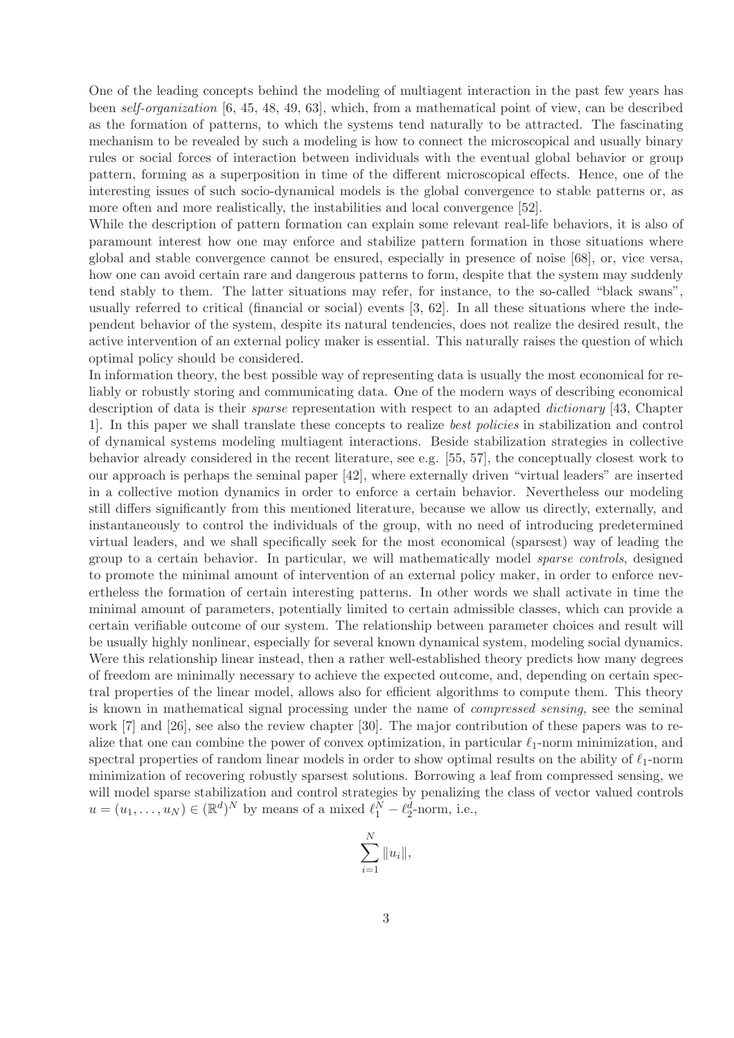One of the leading concepts behind the modeling of multiagent interaction in the past few years has been *self-organization* [6, 45, 48, 49, 63], which, from a mathematical point of view, can be described as the formation of patterns, to which the systems tend naturally to be attracted. The fascinating mechanism to be revealed by such a modeling is how to connect the microscopical and usually binary rules or social forces of interaction between individuals with the eventual global behavior or group pattern, forming as a superposition in time of the different microscopical effects. Hence, one of the interesting issues of such socio-dynamical models is the global convergence to stable patterns or, as more often and more realistically, the instabilities and local convergence [52].

While the description of pattern formation can explain some relevant real-life behaviors, it is also of paramount interest how one may enforce and stabilize pattern formation in those situations where global and stable convergence cannot be ensured, especially in presence of noise [68], or, vice versa, how one can avoid certain rare and dangerous patterns to form, despite that the system may suddenly tend stably to them. The latter situations may refer, for instance, to the so-called "black swans", usually referred to critical (financial or social) events [3, 62]. In all these situations where the independent behavior of the system, despite its natural tendencies, does not realize the desired result, the active intervention of an external policy maker is essential. This naturally raises the question of which optimal policy should be considered.

In information theory, the best possible way of representing data is usually the most economical for reliably or robustly storing and communicating data. One of the modern ways of describing economical description of data is their *sparse* representation with respect to an adapted *dictionary* [43, Chapter 1]. In this paper we shall translate these concepts to realize *best policies* in stabilization and control of dynamical systems modeling multiagent interactions. Beside stabilization strategies in collective behavior already considered in the recent literature, see e.g. [55, 57], the conceptually closest work to our approach is perhaps the seminal paper [42], where externally driven "virtual leaders" are inserted in a collective motion dynamics in order to enforce a certain behavior. Nevertheless our modeling still differs significantly from this mentioned literature, because we allow us directly, externally, and instantaneously to control the individuals of the group, with no need of introducing predetermined virtual leaders, and we shall specifically seek for the most economical (sparsest) way of leading the group to a certain behavior. In particular, we will mathematically model *sparse controls*, designed to promote the minimal amount of intervention of an external policy maker, in order to enforce nevertheless the formation of certain interesting patterns. In other words we shall activate in time the minimal amount of parameters, potentially limited to certain admissible classes, which can provide a certain verifiable outcome of our system. The relationship between parameter choices and result will be usually highly nonlinear, especially for several known dynamical system, modeling social dynamics. Were this relationship linear instead, then a rather well-established theory predicts how many degrees of freedom are minimally necessary to achieve the expected outcome, and, depending on certain spectral properties of the linear model, allows also for efficient algorithms to compute them. This theory is known in mathematical signal processing under the name of *compressed sensing*, see the seminal work [7] and [26], see also the review chapter [30]. The major contribution of these papers was to realize that one can combine the power of convex optimization, in particular  $\ell_1$ -norm minimization, and spectral properties of random linear models in order to show optimal results on the ability of  $\ell_1$ -norm minimization of recovering robustly sparsest solutions. Borrowing a leaf from compressed sensing, we will model sparse stabilization and control strategies by penalizing the class of vector valued controls  $u = (u_1, \dots, u_N) \in (\mathbb{R}^d)^N$  by means of a mixed  $\ell_1^N - \ell_2^d$ -norm, i.e.,

$$
\sum_{i=1}^N \|u_i\|,
$$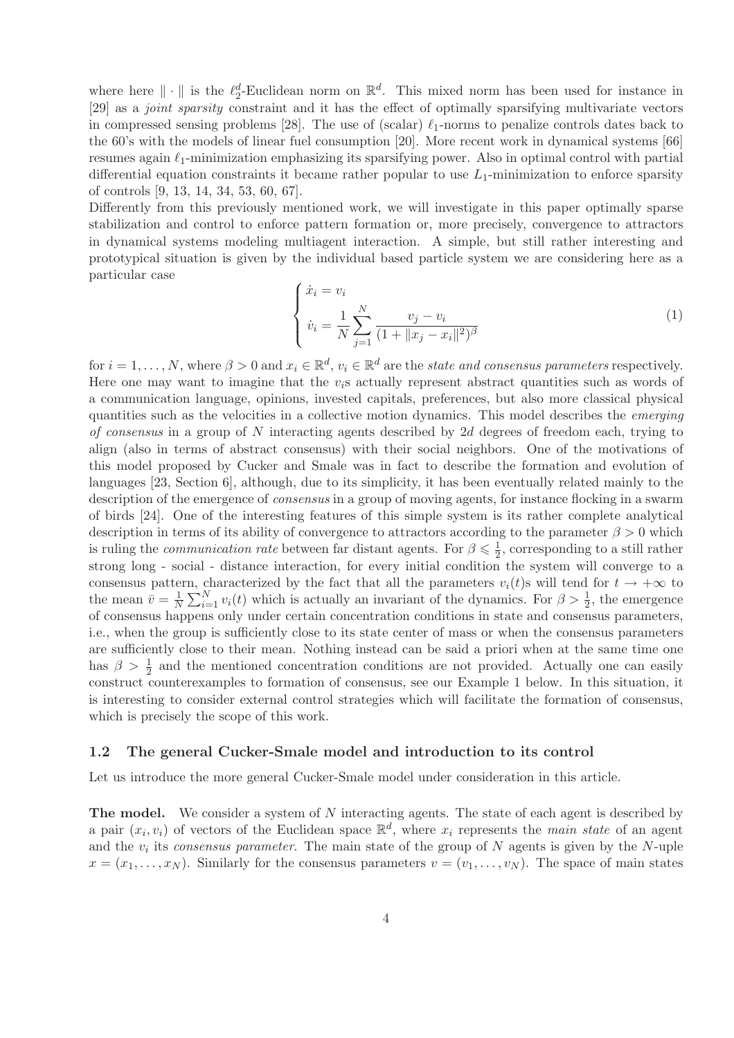where here  $\|\cdot\|$  is the  $\ell_2^d$ -Euclidean norm on  $\mathbb{R}^d$ . This mixed norm has been used for instance in [29] as a *joint sparsity* constraint and it has the effect of optimally sparsifying multivariate vectors in compressed sensing problems [28]. The use of (scalar)  $\ell_1$ -norms to penalize controls dates back to the 60's with the models of linear fuel consumption [20]. More recent work in dynamical systems [66] resumes again  $\ell_1$ -minimization emphasizing its sparsifying power. Also in optimal control with partial differential equation constraints it became rather popular to use  $L_1$ -minimization to enforce sparsity of controls [9, 13, 14, 34, 53, 60, 67].

Differently from this previously mentioned work, we will investigate in this paper optimally sparse stabilization and control to enforce pattern formation or, more precisely, convergence to attractors in dynamical systems modeling multiagent interaction. A simple, but still rather interesting and prototypical situation is given by the individual based particle system we are considering here as a particular case

$$
\begin{cases} \n\dot{x}_i = v_i \\
\dot{v}_i = \frac{1}{N} \sum_{j=1}^N \frac{v_j - v_i}{(1 + \|x_j - x_i\|^2)^{\beta}}\n\end{cases} \tag{1}
$$

for  $i = 1, ..., N$ , where  $\beta > 0$  and  $x_i \in \mathbb{R}^d$ ,  $v_i \in \mathbb{R}^d$  are the *state and consensus parameters* respectively. Here one may want to imagine that the  $v_i$ s actually represent abstract quantities such as words of a communication language, opinions, invested capitals, preferences, but also more classical physical quantities such as the velocities in a collective motion dynamics. This model describes the *emerging of consensus* in a group of N interacting agents described by 2d degrees of freedom each, trying to align (also in terms of abstract consensus) with their social neighbors. One of the motivations of this model proposed by Cucker and Smale was in fact to describe the formation and evolution of languages [23, Section 6], although, due to its simplicity, it has been eventually related mainly to the description of the emergence of *consensus* in a group of moving agents, for instance flocking in a swarm of birds [24]. One of the interesting features of this simple system is its rather complete analytical description in terms of its ability of convergence to attractors according to the parameter  $\beta > 0$  which is ruling the *communication rate* between far distant agents. For  $\beta \leq \frac{1}{2}$  $\frac{1}{2}$ , corresponding to a still rather strong long - social - distance interaction, for every initial condition the system will converge to a consensus pattern, characterized by the fact that all the parameters  $v_i(t)$ s will tend for  $t \to +\infty$  to the mean  $\bar{v} = \frac{1}{N}$  $\frac{1}{N}\sum_{i=1}^{N} v_i(t)$  which is actually an invariant of the dynamics. For  $\beta > \frac{1}{2}$ , the emergence of consensus happens only under certain concentration conditions in state and consensus parameters, i.e., when the group is sufficiently close to its state center of mass or when the consensus parameters are sufficiently close to their mean. Nothing instead can be said a priori when at the same time one has  $\beta > \frac{1}{2}$  and the mentioned concentration conditions are not provided. Actually one can easily construct counterexamples to formation of consensus, see our Example 1 below. In this situation, it is interesting to consider external control strategies which will facilitate the formation of consensus, which is precisely the scope of this work.

#### 1.2 The general Cucker-Smale model and introduction to its control

Let us introduce the more general Cucker-Smale model under consideration in this article.

The model. We consider a system of N interacting agents. The state of each agent is described by a pair  $(x_i, v_i)$  of vectors of the Euclidean space  $\mathbb{R}^d$ , where  $x_i$  represents the *main state* of an agent and the  $v_i$  its *consensus parameter*. The main state of the group of  $N$  agents is given by the  $N$ -uple  $x = (x_1, \ldots, x_N)$ . Similarly for the consensus parameters  $v = (v_1, \ldots, v_N)$ . The space of main states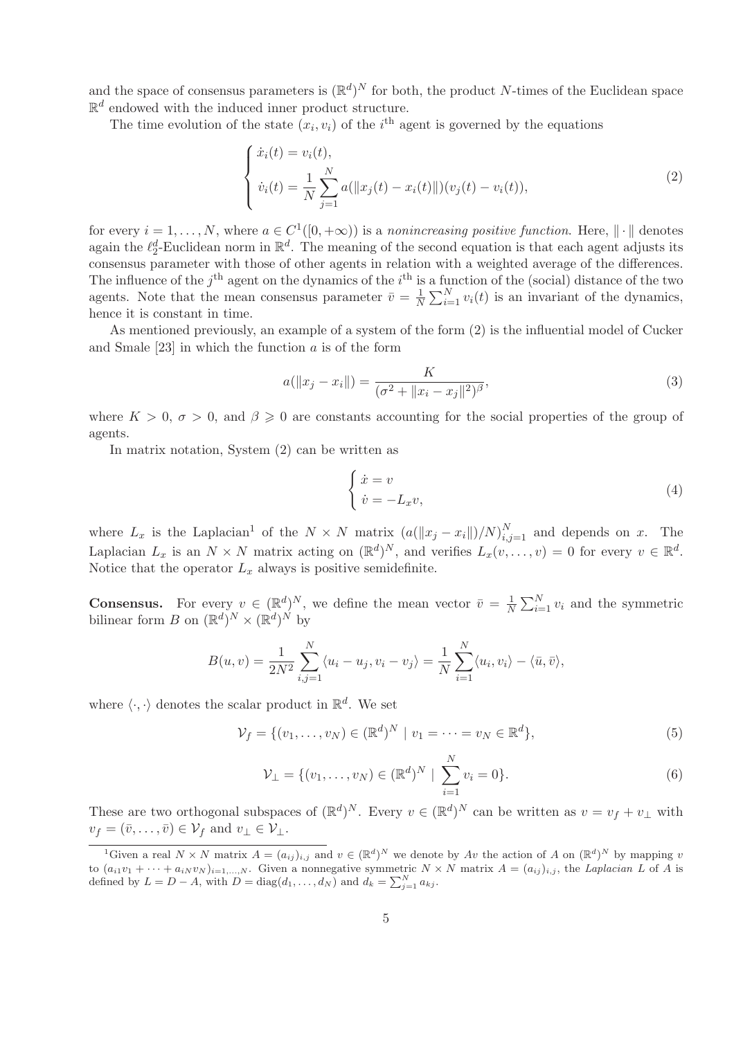and the space of consensus parameters is  $(\mathbb{R}^d)^N$  for both, the product N-times of the Euclidean space  $\mathbb{R}^d$  endowed with the induced inner product structure.

The time evolution of the state  $(x_i, v_i)$  of the i<sup>th</sup> agent is governed by the equations

$$
\begin{cases}\n\dot{x}_i(t) = v_i(t), \\
\dot{v}_i(t) = \frac{1}{N} \sum_{j=1}^N a(||x_j(t) - x_i(t)||)(v_j(t) - v_i(t)),\n\end{cases}
$$
\n(2)

for every  $i = 1, ..., N$ , where  $a \in C^1([0, +\infty))$  is a *nonincreasing positive function*. Here,  $\|\cdot\|$  denotes again the  $\ell_2^d$ -Euclidean norm in  $\mathbb{R}^d$ . The meaning of the second equation is that each agent adjusts its consensus parameter with those of other agents in relation with a weighted average of the differences. The influence of the  $j<sup>th</sup>$  agent on the dynamics of the  $i<sup>th</sup>$  is a function of the (social) distance of the two agents. Note that the mean consensus parameter  $\bar{v} = \frac{1}{N}$  $\frac{1}{N} \sum_{i=1}^{N} v_i(t)$  is an invariant of the dynamics, hence it is constant in time.

As mentioned previously, an example of a system of the form (2) is the influential model of Cucker and Smale  $[23]$  in which the function a is of the form

$$
a(||x_j - x_i||) = \frac{K}{(\sigma^2 + ||x_i - x_j||^2)^{\beta}},
$$
\n(3)

where  $K > 0$ ,  $\sigma > 0$ , and  $\beta \geq 0$  are constants accounting for the social properties of the group of agents.

In matrix notation, System (2) can be written as

$$
\begin{cases} \n\dot{x} = v \\
\dot{v} = -L_x v,\n\end{cases} \tag{4}
$$

where  $L_x$  is the Laplacian<sup>1</sup> of the  $N \times N$  matrix  $(a(||x_j - x_i||)/N)_{i,j=1}^N$  and depends on x. The Laplacian  $L_x$  is an  $N \times N$  matrix acting on  $(\mathbb{R}^d)^N$ , and verifies  $L_x(v, \ldots, v) = 0$  for every  $v \in \mathbb{R}^d$ . Notice that the operator  $L_x$  always is positive semidefinite.

**Consensus.** For every  $v \in (\mathbb{R}^d)^N$ , we define the mean vector  $\bar{v} = \frac{1}{N}$  $\frac{1}{N} \sum_{i=1}^{N} v_i$  and the symmetric bilinear form  $B$  on  $(\mathbb{R}^d)^N \times (\mathbb{R}^d)^N$  by

$$
B(u, v) = \frac{1}{2N^2} \sum_{i,j=1}^{N} \langle u_i - u_j, v_i - v_j \rangle = \frac{1}{N} \sum_{i=1}^{N} \langle u_i, v_i \rangle - \langle \bar{u}, \bar{v} \rangle,
$$

where  $\langle \cdot, \cdot \rangle$  denotes the scalar product in  $\mathbb{R}^d$ . We set

$$
\mathcal{V}_f = \{ (v_1, \dots, v_N) \in (\mathbb{R}^d)^N \mid v_1 = \dots = v_N \in \mathbb{R}^d \},\tag{5}
$$

$$
\mathcal{V}_{\perp} = \{ (v_1, \dots, v_N) \in (\mathbb{R}^d)^N \mid \sum_{i=1}^N v_i = 0 \}.
$$
 (6)

These are two orthogonal subspaces of  $(\mathbb{R}^d)^N$ . Every  $v \in (\mathbb{R}^d)^N$  can be written as  $v = v_f + v_\perp$  with  $v_f = (\bar{v}, \dots, \bar{v}) \in \mathcal{V}_f$  and  $v_\perp \in \mathcal{V}_\perp$ .

<sup>&</sup>lt;sup>1</sup>Given a real  $N \times N$  matrix  $A = (a_{ij})_{i,j}$  and  $v \in (\mathbb{R}^d)^N$  we denote by Av the action of A on  $(\mathbb{R}^d)^N$  by mapping v to  $(a_{i1}v_1 + \cdots + a_{iN}v_N)_{i=1,\ldots,N}$ . Given a nonnegative symmetric  $N \times N$  matrix  $A = (a_{ij})_{i,j}$ , the Laplacian L of A is defined by  $L = D - A$ , with  $D = \text{diag}(d_1, \ldots, d_N)$  and  $d_k = \sum_{j=1}^N a_{kj}$ .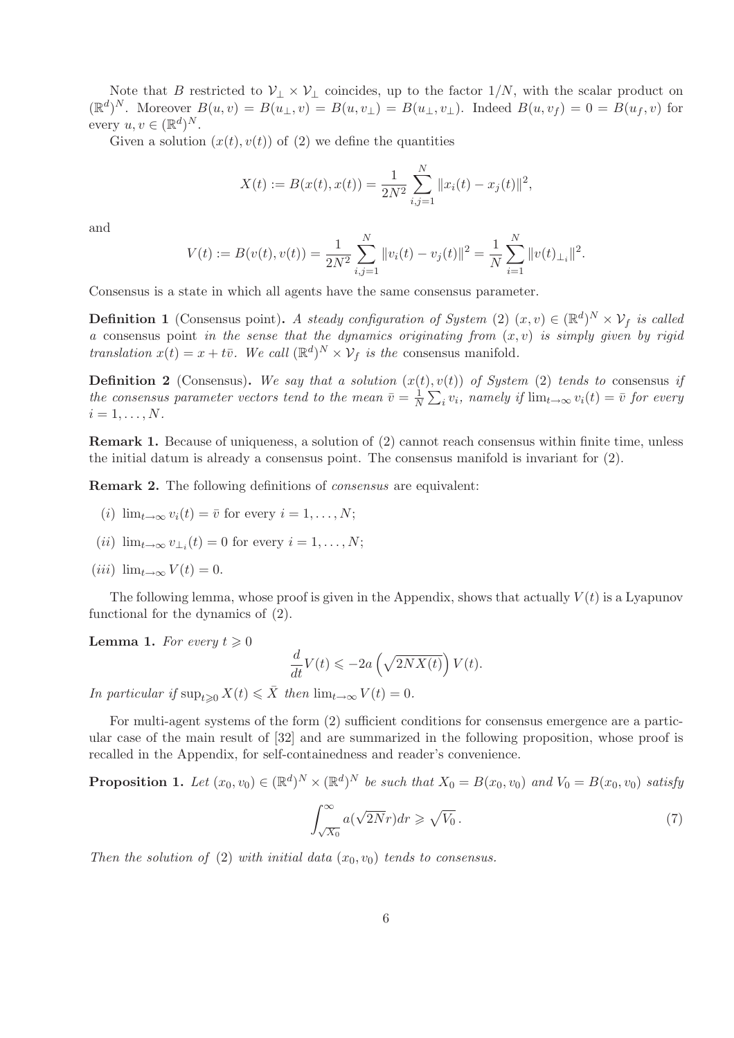Note that B restricted to  $\mathcal{V}_\perp \times \mathcal{V}_\perp$  coincides, up to the factor  $1/N$ , with the scalar product on  $(\mathbb{R}^d)^N$ . Moreover  $B(u, v) = B(u_{\perp}, v) = B(u, v_{\perp}) = B(u_{\perp}, v_{\perp})$ . Indeed  $B(u, v_f) = 0 = B(u_f, v)$  for every  $u, v \in (\mathbb{R}^d)^N$ .

Given a solution  $(x(t), v(t))$  of (2) we define the quantities

$$
X(t) := B(x(t), x(t)) = \frac{1}{2N^2} \sum_{i,j=1}^{N} ||x_i(t) - x_j(t)||^2,
$$

and

$$
V(t) := B(v(t), v(t)) = \frac{1}{2N^2} \sum_{i,j=1}^{N} ||v_i(t) - v_j(t)||^2 = \frac{1}{N} \sum_{i=1}^{N} ||v(t)_{\perp i}||^2.
$$

Consensus is a state in which all agents have the same consensus parameter.

**Definition 1** (Consensus point). A steady configuration of System  $(2)$   $(x, v) \in (\mathbb{R}^d)^N \times \mathcal{V}_f$  is called *a* consensus point *in the sense that the dynamics originating from*  $(x, v)$  *is simply given by rigid translation*  $x(t) = x + t\overline{v}$ *. We call*  $(\mathbb{R}^d)^N \times V_f$  *is the* consensus manifold*.* 

**Definition 2** (Consensus). We say that a solution  $(x(t), v(t))$  of System (2) tends to consensus if *the consensus parameter vectors tend to the mean*  $\bar{v} = \frac{1}{N}$  $\frac{1}{N} \sum_i v_i$ , namely if  $\lim_{t \to \infty} v_i(t) = \overline{v}$  for every  $i = 1, \ldots, N$ .

Remark 1. Because of uniqueness, a solution of (2) cannot reach consensus within finite time, unless the initial datum is already a consensus point. The consensus manifold is invariant for (2).

Remark 2. The following definitions of *consensus* are equivalent:

- (i)  $\lim_{t\to\infty}v_i(t)=\overline{v}$  for every  $i=1,\ldots,N;$
- (*ii*)  $\lim_{t\to\infty} v_{\perp_i}(t) = 0$  for every  $i = 1, ..., N$ ;
- (iii)  $\lim_{t\to\infty} V(t) = 0.$

The following lemma, whose proof is given in the Appendix, shows that actually  $V(t)$  is a Lyapunov functional for the dynamics of (2).

**Lemma 1.** For every  $t \geq 0$ 

$$
\frac{d}{dt}V(t) \leqslant -2a\left(\sqrt{2NX(t)}\right)V(t).
$$

*In particular if*  $\sup_{t>0} X(t) \leq \overline{X}$  *then*  $\lim_{t\to\infty} V(t) = 0$ *.* 

For multi-agent systems of the form (2) sufficient conditions for consensus emergence are a particular case of the main result of [32] and are summarized in the following proposition, whose proof is recalled in the Appendix, for self-containedness and reader's convenience.

**Proposition 1.** Let  $(x_0, v_0) \in (\mathbb{R}^d)^N \times (\mathbb{R}^d)^N$  be such that  $X_0 = B(x_0, v_0)$  and  $V_0 = B(x_0, v_0)$  satisfy

$$
\int_{\sqrt{X_0}}^{\infty} a(\sqrt{2N}r) dr \geqslant \sqrt{V_0} \,. \tag{7}
$$

*Then the solution of* (2) *with initial data*  $(x_0, v_0)$  *tends to consensus.*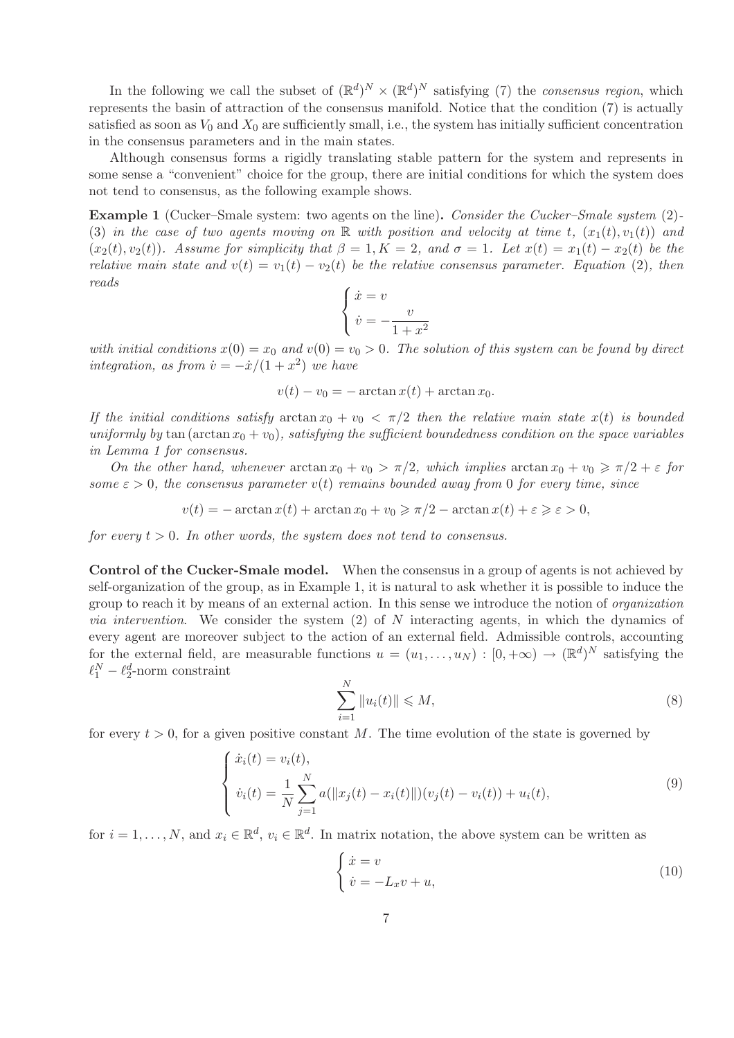In the following we call the subset of  $(\mathbb{R}^d)^N \times (\mathbb{R}^d)^N$  satisfying (7) the *consensus region*, which represents the basin of attraction of the consensus manifold. Notice that the condition (7) is actually satisfied as soon as  $V_0$  and  $X_0$  are sufficiently small, i.e., the system has initially sufficient concentration in the consensus parameters and in the main states.

Although consensus forms a rigidly translating stable pattern for the system and represents in some sense a "convenient" choice for the group, there are initial conditions for which the system does not tend to consensus, as the following example shows.

Example 1 (Cucker–Smale system: two agents on the line). *Consider the Cucker–Smale system* (2)*-* (3) *in the case of two agents moving on*  $\mathbb R$  *with position and velocity at time t,*  $(x_1(t), v_1(t))$  *and*  $(x_2(t), v_2(t))$ *. Assume for simplicity that*  $\beta = 1, K = 2$ *, and*  $\sigma = 1$ *. Let*  $x(t) = x_1(t) - x_2(t)$  *be the relative main state and*  $v(t) = v_1(t) - v_2(t)$  *be the relative consensus parameter. Equation* (2), then *reads*

$$
\begin{cases} \dot{x} = v \\ \dot{v} = -\frac{v}{1 + x^2} \end{cases}
$$

with initial conditions  $x(0) = x_0$  and  $v(0) = v_0 > 0$ . The solution of this system can be found by direct *integration, as from*  $\dot{v} = -\dot{x}/(1+x^2)$  *we have* 

$$
v(t) - v_0 = -\arctan x(t) + \arctan x_0.
$$

*If the initial conditions satisfy*  $\arctan x_0 + v_0 < \pi/2$  *then the relative main state*  $x(t)$  *is bounded uniformly by* tan (arctan  $x_0 + v_0$ ), satisfying the sufficient boundedness condition on the space variables *in Lemma 1 for consensus.*

*On the other hand, whenever*  $\arctan x_0 + v_0 > \pi/2$ , which implies  $\arctan x_0 + v_0 \ge \pi/2 + \varepsilon$  for *some*  $\varepsilon > 0$ , the consensus parameter  $v(t)$  *remains bounded away from* 0 *for every time, since* 

 $v(t) = -\arctan x(t) + \arctan x_0 + v_0 \ge \pi/2 - \arctan x(t) + \varepsilon \ge \varepsilon > 0,$ 

*for every*  $t > 0$ *. In other words, the system does not tend to consensus.* 

Control of the Cucker-Smale model. When the consensus in a group of agents is not achieved by self-organization of the group, as in Example 1, it is natural to ask whether it is possible to induce the group to reach it by means of an external action. In this sense we introduce the notion of *organization via intervention*. We consider the system (2) of N interacting agents, in which the dynamics of every agent are moreover subject to the action of an external field. Admissible controls, accounting for the external field, are measurable functions  $u = (u_1, \ldots, u_N) : [0, +\infty) \to (\mathbb{R}^d)^N$  satisfying the  $\ell_1^N - \ell_2^d$ -norm constraint

$$
\sum_{i=1}^{N} \|u_i(t)\| \leqslant M,
$$
\n(8)

for every  $t > 0$ , for a given positive constant M. The time evolution of the state is governed by

$$
\begin{cases}\n\dot{x}_i(t) = v_i(t), \\
\dot{v}_i(t) = \frac{1}{N} \sum_{j=1}^N a(||x_j(t) - x_i(t)||)(v_j(t) - v_i(t)) + u_i(t),\n\end{cases}
$$
\n(9)

for  $i = 1, ..., N$ , and  $x_i \in \mathbb{R}^d$ ,  $v_i \in \mathbb{R}^d$ . In matrix notation, the above system can be written as

$$
\begin{cases} \dot{x} = v \\ \dot{v} = -L_x v + u, \end{cases} \tag{10}
$$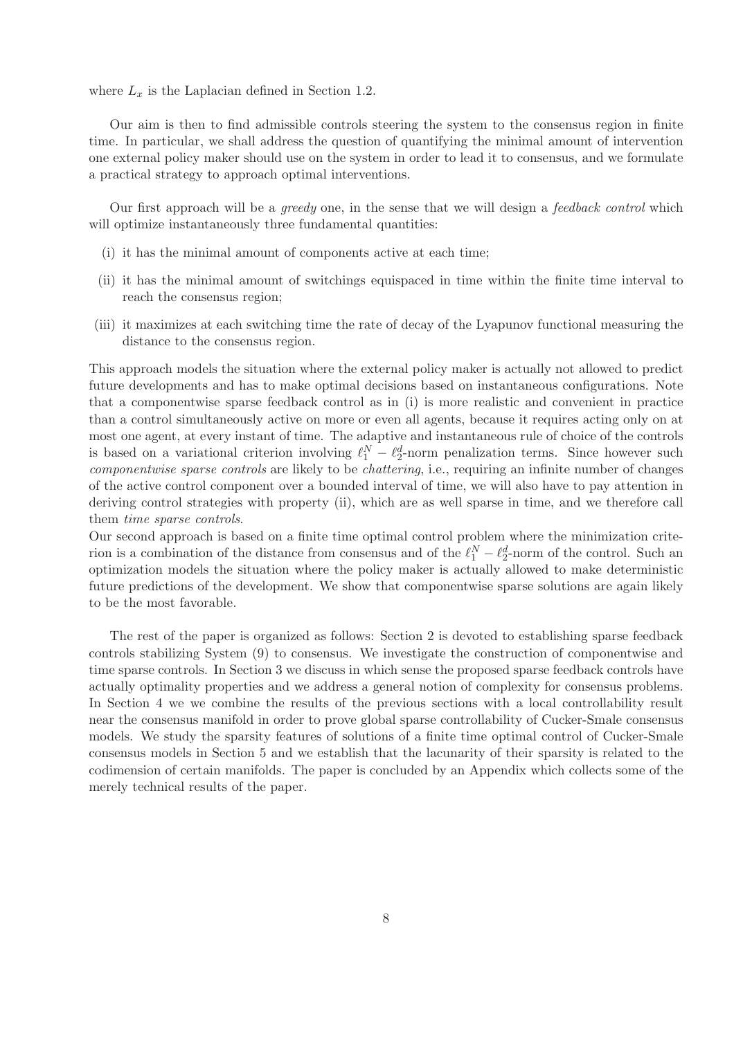where  $L_x$  is the Laplacian defined in Section 1.2.

Our aim is then to find admissible controls steering the system to the consensus region in finite time. In particular, we shall address the question of quantifying the minimal amount of intervention one external policy maker should use on the system in order to lead it to consensus, and we formulate a practical strategy to approach optimal interventions.

Our first approach will be a *greedy* one, in the sense that we will design a *feedback control* which will optimize instantaneously three fundamental quantities:

- (i) it has the minimal amount of components active at each time;
- (ii) it has the minimal amount of switchings equispaced in time within the finite time interval to reach the consensus region;
- (iii) it maximizes at each switching time the rate of decay of the Lyapunov functional measuring the distance to the consensus region.

This approach models the situation where the external policy maker is actually not allowed to predict future developments and has to make optimal decisions based on instantaneous configurations. Note that a componentwise sparse feedback control as in (i) is more realistic and convenient in practice than a control simultaneously active on more or even all agents, because it requires acting only on at most one agent, at every instant of time. The adaptive and instantaneous rule of choice of the controls is based on a variational criterion involving  $\ell_1^N - \ell_2^d$ -norm penalization terms. Since however such *componentwise sparse controls* are likely to be *chattering*, i.e., requiring an infinite number of changes of the active control component over a bounded interval of time, we will also have to pay attention in deriving control strategies with property (ii), which are as well sparse in time, and we therefore call them *time sparse controls*.

Our second approach is based on a finite time optimal control problem where the minimization criterion is a combination of the distance from consensus and of the  $\ell_1^N - \ell_2^d$ -norm of the control. Such an optimization models the situation where the policy maker is actually allowed to make deterministic future predictions of the development. We show that componentwise sparse solutions are again likely to be the most favorable.

The rest of the paper is organized as follows: Section 2 is devoted to establishing sparse feedback controls stabilizing System (9) to consensus. We investigate the construction of componentwise and time sparse controls. In Section 3 we discuss in which sense the proposed sparse feedback controls have actually optimality properties and we address a general notion of complexity for consensus problems. In Section 4 we we combine the results of the previous sections with a local controllability result near the consensus manifold in order to prove global sparse controllability of Cucker-Smale consensus models. We study the sparsity features of solutions of a finite time optimal control of Cucker-Smale consensus models in Section 5 and we establish that the lacunarity of their sparsity is related to the codimension of certain manifolds. The paper is concluded by an Appendix which collects some of the merely technical results of the paper.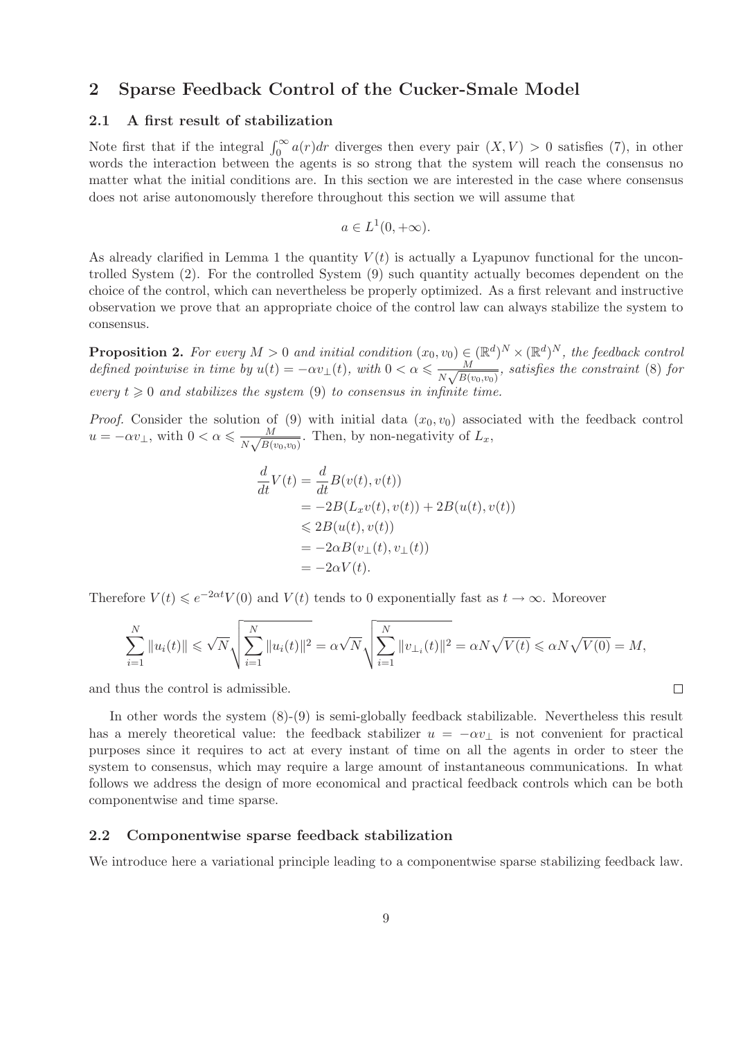### 2 Sparse Feedback Control of the Cucker-Smale Model

#### 2.1 A first result of stabilization

Note first that if the integral  $\int_0^\infty a(r)dr$  diverges then every pair  $(X, V) > 0$  satisfies (7), in other words the interaction between the agents is so strong that the system will reach the consensus no matter what the initial conditions are. In this section we are interested in the case where consensus does not arise autonomously therefore throughout this section we will assume that

$$
a \in L^1(0, +\infty).
$$

As already clarified in Lemma 1 the quantity  $V(t)$  is actually a Lyapunov functional for the uncontrolled System (2). For the controlled System (9) such quantity actually becomes dependent on the choice of the control, which can nevertheless be properly optimized. As a first relevant and instructive observation we prove that an appropriate choice of the control law can always stabilize the system to consensus.

**Proposition 2.** For every  $M > 0$  and initial condition  $(x_0, v_0) \in (\mathbb{R}^d)^N \times (\mathbb{R}^d)^N$ , the feedback control *defined pointwise in time by*  $u(t) = -\alpha v_{\perp}(t)$ , with  $0 < \alpha \leq \frac{M}{N\sqrt{B(t)}}$  $\frac{M}{N\sqrt{B(v_0,v_0)}},$  satisfies the constraint (8) for *every*  $t \geq 0$  *and stabilizes the system* (9) *to consensus in infinite time.* 

*Proof.* Consider the solution of (9) with initial data  $(x_0, v_0)$  associated with the feedback control  $u = -\alpha v_{\perp}$ , with  $0 < \alpha \leqslant \frac{M}{N\sqrt{B(n)}}$  $\frac{M}{N\sqrt{B(v_0,v_0)}}$ . Then, by non-negativity of  $L_x$ ,

$$
\frac{d}{dt}V(t) = \frac{d}{dt}B(v(t), v(t))
$$
\n
$$
= -2B(L_xv(t), v(t)) + 2B(u(t), v(t))
$$
\n
$$
\leq 2B(u(t), v(t))
$$
\n
$$
= -2\alpha B(v_{\perp}(t), v_{\perp}(t))
$$
\n
$$
= -2\alpha V(t).
$$

Therefore  $V(t) \leqslant e^{-2\alpha t} V(0)$  and  $V(t)$  tends to 0 exponentially fast as  $t \to \infty$ . Moreover

$$
\sum_{i=1}^{N} ||u_i(t)|| \leq \sqrt{N} \sqrt{\sum_{i=1}^{N} ||u_i(t)||^2} = \alpha \sqrt{N} \sqrt{\sum_{i=1}^{N} ||v_{\perp} (t)||^2} = \alpha N \sqrt{V(t)} \leq \alpha N \sqrt{V(0)} = M,
$$

 $\Box$ 

and thus the control is admissible.

In other words the system (8)-(9) is semi-globally feedback stabilizable. Nevertheless this result has a merely theoretical value: the feedback stabilizer  $u = -\alpha v_{\perp}$  is not convenient for practical purposes since it requires to act at every instant of time on all the agents in order to steer the system to consensus, which may require a large amount of instantaneous communications. In what follows we address the design of more economical and practical feedback controls which can be both componentwise and time sparse.

#### 2.2 Componentwise sparse feedback stabilization

We introduce here a variational principle leading to a componentwise sparse stabilizing feedback law.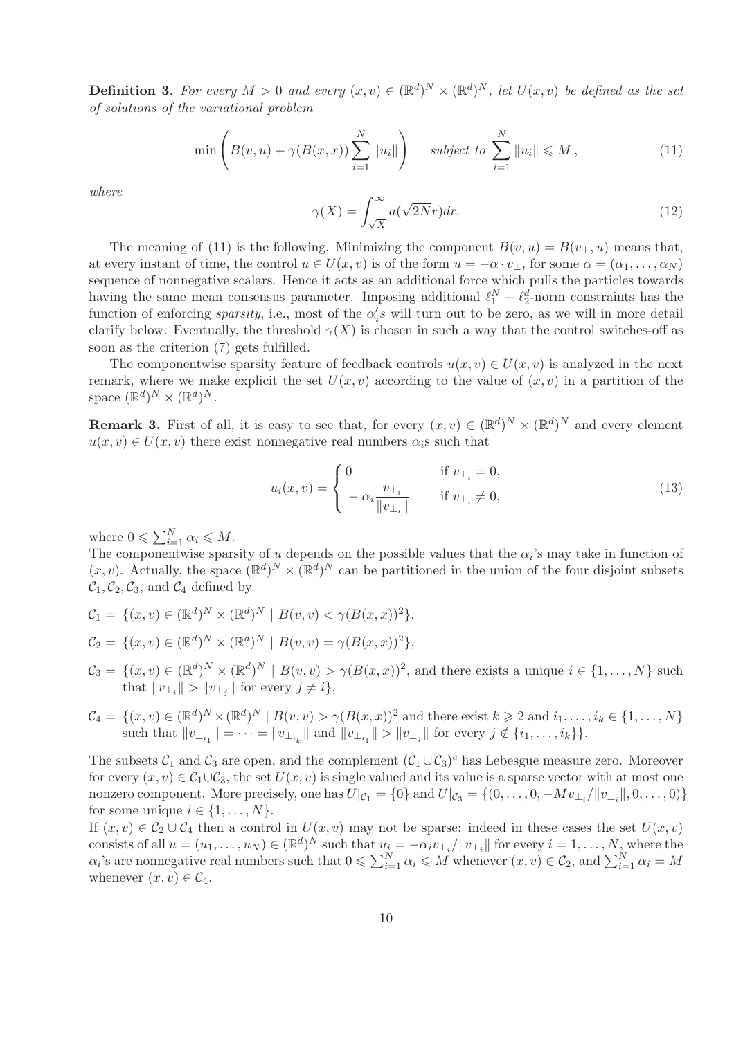**Definition 3.** For every  $M > 0$  and every  $(x, v) \in (\mathbb{R}^d)^N \times (\mathbb{R}^d)^N$ , let  $U(x, v)$  be defined as the set *of solutions of the variational problem*

$$
\min\left(B(v, u) + \gamma(B(x, x))\sum_{i=1}^{N} ||u_i||\right) \quad subject \ to \ \sum_{i=1}^{N} ||u_i|| \leq M,
$$
\n(11)

*where*

$$
\gamma(X) = \int_{\sqrt{X}}^{\infty} a(\sqrt{2N}r) dr.
$$
\n(12)

The meaning of (11) is the following. Minimizing the component  $B(v, u) = B(v_{\perp}, u)$  means that, at every instant of time, the control  $u \in U(x, v)$  is of the form  $u = -\alpha \cdot v_+$ , for some  $\alpha = (\alpha_1, \ldots, \alpha_N)$ sequence of nonnegative scalars. Hence it acts as an additional force which pulls the particles towards having the same mean consensus parameter. Imposing additional  $\ell_1^N - \ell_2^d$ -norm constraints has the function of enforcing *sparsity*, i.e., most of the  $\alpha_i$ 's will turn out to be zero, as we will in more detail clarify below. Eventually, the threshold  $\gamma(X)$  is chosen in such a way that the control switches-off as soon as the criterion (7) gets fulfilled.

The componentwise sparsity feature of feedback controls  $u(x, v) \in U(x, v)$  is analyzed in the next remark, where we make explicit the set  $U(x, v)$  according to the value of  $(x, v)$  in a partition of the space  $(\mathbb{R}^d)^N \times (\mathbb{R}^d)^N$ .

**Remark 3.** First of all, it is easy to see that, for every  $(x, v) \in (\mathbb{R}^d)^N \times (\mathbb{R}^d)^N$  and every element  $u(x, v) \in U(x, v)$  there exist nonnegative real numbers  $\alpha_i$ s such that

$$
u_i(x,v) = \begin{cases} 0 & \text{if } v_{\perp_i} = 0, \\ -\alpha_i \frac{v_{\perp_i}}{\|v_{\perp_i}\|} & \text{if } v_{\perp_i} \neq 0, \end{cases}
$$
 (13)

where  $0 \leqslant \sum_{i=1}^{N} \alpha_i \leqslant M$ .

The componentwise sparsity of u depends on the possible values that the  $\alpha_i$ 's may take in function of  $(x, v)$ . Actually, the space  $(\mathbb{R}^d)^N \times (\mathbb{R}^d)^N$  can be partitioned in the union of the four disjoint subsets  $\mathcal{C}_1, \mathcal{C}_2, \mathcal{C}_3$ , and  $\mathcal{C}_4$  defined by

$$
C_1 = \{ (x, v) \in (\mathbb{R}^d)^N \times (\mathbb{R}^d)^N \mid B(v, v) < \gamma (B(x, x))^2 \},
$$
  
\n
$$
C_2 = \{ (x, v) \in (\mathbb{R}^d)^N \times (\mathbb{R}^d)^N \mid B(v, v) = \gamma (B(x, x))^2 \},
$$

- $\mathcal{C}_3 = \{(x, v) \in (\mathbb{R}^d)^N \times (\mathbb{R}^d)^N \mid B(v, v) > \gamma(B(x, x))^2$ , and there exists a unique  $i \in \{1, ..., N\}$  such that  $||v_{\perp_i}|| > ||v_{\perp_j}||$  for every  $j \neq i$ ,
- $\mathcal{C}_4 = \{(x, v) \in (\mathbb{R}^d)^N \times (\mathbb{R}^d)^N \mid B(v, v) > \gamma(B(x, x))^2 \text{ and there exist } k \geqslant 2 \text{ and } i_1, \ldots, i_k \in \{1, \ldots, N\}$ such that  $||v_{\perp_{i_1}}|| = \cdots = ||v_{\perp_{i_k}}||$  and  $||v_{\perp_{i_1}}|| > ||v_{\perp_j}||$  for every  $j \notin \{i_1, \ldots, i_k\}$ .

The subsets  $C_1$  and  $C_3$  are open, and the complement  $(C_1 \cup C_3)^c$  has Lebesgue measure zero. Moreover for every  $(x, v) \in C_1 \cup C_3$ , the set  $U(x, v)$  is single valued and its value is a sparse vector with at most one nonzero component. More precisely, one has  $U|_{\mathcal{C}_1} = \{0\}$  and  $U|_{\mathcal{C}_3} = \{(0, \ldots, 0, -Mv_{\perp_i} / ||v_{\perp_i}||, 0, \ldots, 0)\}$ for some unique  $i \in \{1, \ldots, N\}$ .

If  $(x, v) \in C_2 \cup C_4$  then a control in  $U(x, v)$  may not be sparse: indeed in these cases the set  $U(x, v)$ consists of all  $u = (u_1, \ldots, u_N) \in (\mathbb{R}^d)^N$  such that  $u_i = -\alpha_i v_{\perp_i}/||v_{\perp_i}||$  for every  $i = 1, \ldots, N$ , where the  $\alpha_i$ 's are nonnegative real numbers such that  $0 \leq \sum_{i=1}^N \alpha_i \leq M$  whenever  $(x, v) \in C_2$ , and  $\sum_{i=1}^N \alpha_i = M$ whenever  $(x, v) \in C_4$ .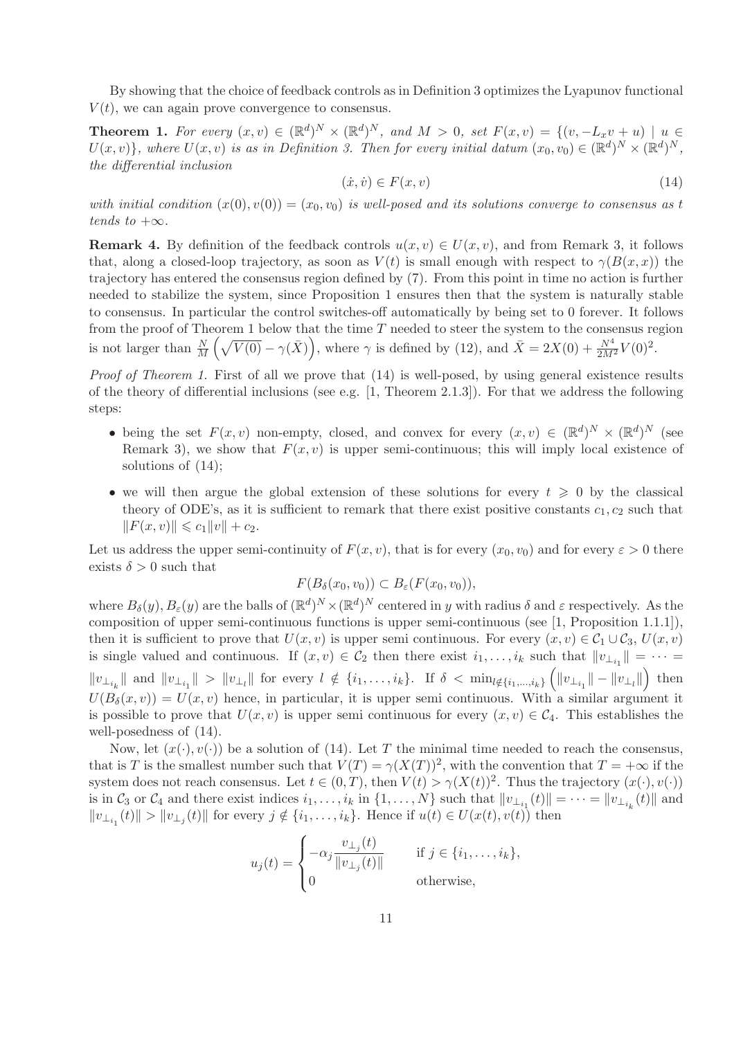By showing that the choice of feedback controls as in Definition 3 optimizes the Lyapunov functional  $V(t)$ , we can again prove convergence to consensus.

**Theorem 1.** For every  $(x, v) \in (\mathbb{R}^d)^N \times (\mathbb{R}^d)^N$ , and  $M > 0$ , set  $F(x, v) = \{(v, -L_x v + u) \mid u \in$  $U(x, v)$ , where  $U(x, v)$  is as in Definition 3. Then for every initial datum  $(x_0, v_0) \in (\mathbb{R}^d)^N \times (\mathbb{R}^d)^N$ , *the differential inclusion*

$$
(\dot{x}, \dot{v}) \in F(x, v) \tag{14}
$$

*with initial condition*  $(x(0), v(0)) = (x_0, v_0)$  *is well-posed and its solutions converge to consensus as t tends to*  $+\infty$ *.* 

**Remark 4.** By definition of the feedback controls  $u(x, v) \in U(x, v)$ , and from Remark 3, it follows that, along a closed-loop trajectory, as soon as  $V(t)$  is small enough with respect to  $\gamma(B(x, x))$  the trajectory has entered the consensus region defined by (7). From this point in time no action is further needed to stabilize the system, since Proposition 1 ensures then that the system is naturally stable to consensus. In particular the control switches-off automatically by being set to 0 forever. It follows from the proof of Theorem 1 below that the time  $T$  needed to steer the system to the consensus region is not larger than  $\frac{N}{M}(\sqrt{V(0)} - \gamma(\bar{X}))$ , where  $\gamma$  is defined by (12), and  $\bar{X} = 2X(0) + \frac{N^4}{2M^2}V(0)^2$ .

*Proof of Theorem 1.* First of all we prove that  $(14)$  is well-posed, by using general existence results of the theory of differential inclusions (see e.g.  $[1,$  Theorem 2.1.3]). For that we address the following steps:

- being the set  $F(x, v)$  non-empty, closed, and convex for every  $(x, v) \in (\mathbb{R}^d)^N \times (\mathbb{R}^d)^N$  (see Remark 3), we show that  $F(x, v)$  is upper semi-continuous; this will imply local existence of solutions of (14);
- we will then argue the global extension of these solutions for every  $t \geq 0$  by the classical theory of ODE's, as it is sufficient to remark that there exist positive constants  $c_1, c_2$  such that  $||F(x, v)|| \leq c_1 ||v|| + c_2.$

Let us address the upper semi-continuity of  $F(x, v)$ , that is for every  $(x_0, v_0)$  and for every  $\varepsilon > 0$  there exists  $\delta > 0$  such that

$$
F(B_{\delta}(x_0,v_0)) \subset B_{\varepsilon}(F(x_0,v_0)),
$$

where  $B_\delta(y)$ ,  $B_\varepsilon(y)$  are the balls of  $(\mathbb{R}^d)^N \times (\mathbb{R}^d)^N$  centered in y with radius  $\delta$  and  $\varepsilon$  respectively. As the composition of upper semi-continuous functions is upper semi-continuous (see [1, Proposition 1.1.1]), then it is sufficient to prove that  $U(x, v)$  is upper semi continuous. For every  $(x, v) \in C_1 \cup C_3$ ,  $U(x, v)$ is single valued and continuous. If  $(x, v) \in C_2$  then there exist  $i_1, \ldots, i_k$  such that  $||v_{\perp_{i_1}}|| = \cdots =$  $||v_{\perp_{i_k}}||$  and  $||v_{\perp_{i_1}}|| > ||v_{\perp_l}||$  for every  $l \notin \{i_1, \ldots, i_k\}$ . If  $\delta < \min_{l \notin \{i_1, \ldots, i_k\}} \left( ||v_{\perp_{i_1}}|| - ||v_{\perp_l}|| \right)$  $\int$  then  $U(B_\delta(x, v)) = U(x, v)$  hence, in particular, it is upper semi continuous. With a similar argument it is possible to prove that  $U(x, v)$  is upper semi continuous for every  $(x, v) \in C_4$ . This establishes the well-posedness of (14).

Now, let  $(x(\cdot), v(\cdot))$  be a solution of (14). Let T the minimal time needed to reach the consensus, that is T is the smallest number such that  $V(T) = \gamma(X(T))^2$ , with the convention that  $T = +\infty$  if the system does not reach consensus. Let  $t \in (0,T)$ , then  $V(t) > \gamma(X(t))^2$ . Thus the trajectory  $(x(\cdot), v(\cdot))$ is in  $\mathcal{C}_3$  or  $\mathcal{C}_4$  and there exist indices  $i_1, \ldots, i_k$  in  $\{1, \ldots, N\}$  such that  $||v_{\perp_{i_1}}(t)|| = \cdots = ||v_{\perp_{i_k}}(t)||$  and  $||v_{\perp_{i_1}}(t)|| > ||v_{\perp_j}(t)||$  for every  $j \notin \{i_1, \ldots, i_k\}$ . Hence if  $u(t) \in U(x(t), v(t))$  then

$$
u_j(t) = \begin{cases} -\alpha_j \frac{v_{\perp_j}(t)}{\|v_{\perp_j}(t)\|} & \text{if } j \in \{i_1, \ldots, i_k\}, \\ 0 & \text{otherwise,} \end{cases}
$$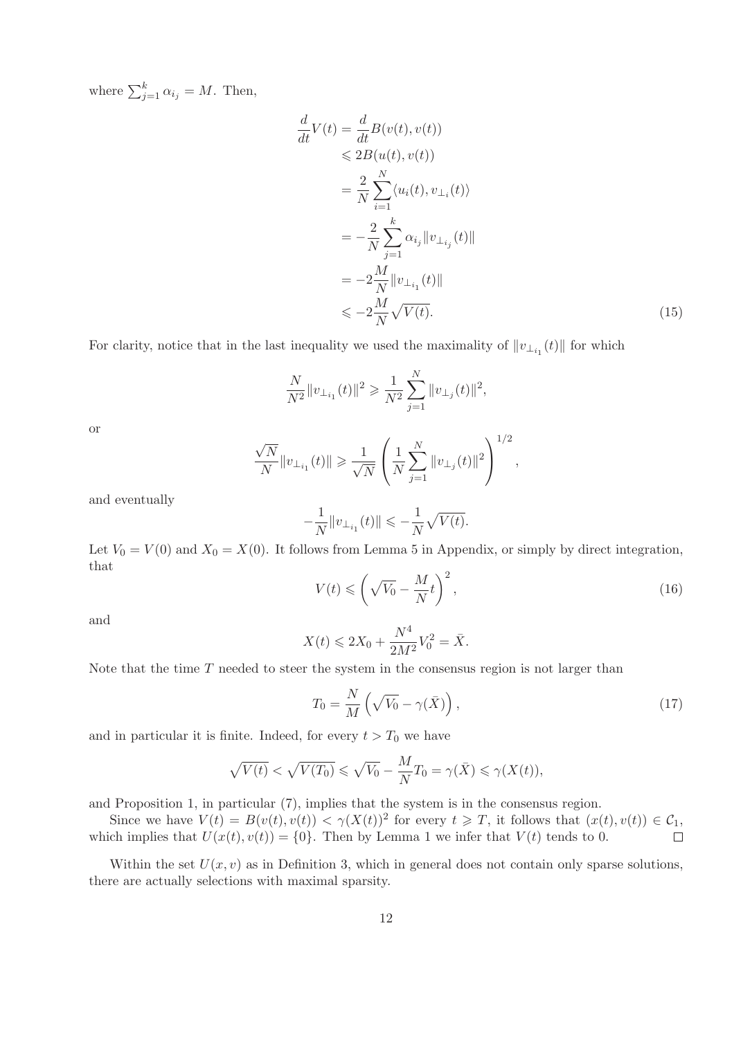where  $\sum_{j=1}^{k} \alpha_{i_j} = M$ . Then,

$$
\frac{d}{dt}V(t) = \frac{d}{dt}B(v(t), v(t))
$$
\n
$$
\leq 2B(u(t), v(t))
$$
\n
$$
= \frac{2}{N} \sum_{i=1}^{N} \langle u_i(t), v_{\perp_i}(t) \rangle
$$
\n
$$
= -\frac{2}{N} \sum_{j=1}^{k} \alpha_{i_j} ||v_{\perp_{i_j}}(t)||
$$
\n
$$
= -2\frac{M}{N} ||v_{\perp_{i_1}}(t)||
$$
\n
$$
\leq -2\frac{M}{N}\sqrt{V(t)}.
$$
\n(15)

For clarity, notice that in the last inequality we used the maximality of  $||v_{\perp_{i_1}}(t)||$  for which

$$
\frac{N}{N^2}||v_{\perp_{i_1}}(t)||^2 \geqslant \frac{1}{N^2}\sum_{j=1}^N ||v_{\perp_j}(t)||^2,
$$

or

$$
\frac{\sqrt{N}}{N} \|v_{\perp_{i_1}}(t)\| \geqslant \frac{1}{\sqrt{N}} \left( \frac{1}{N} \sum_{j=1}^N \|v_{\perp_j}(t)\|^2 \right)^{1/2},
$$

and eventually

$$
-\frac{1}{N}\|v_{\perp_{i_1}}(t)\|\leqslant -\frac{1}{N}\sqrt{V(t)}.
$$

Let  $V_0 = V(0)$  and  $X_0 = X(0)$ . It follows from Lemma 5 in Appendix, or simply by direct integration, that

$$
V(t) \leqslant \left(\sqrt{V_0} - \frac{M}{N}t\right)^2,\tag{16}
$$

and

$$
X(t) \leq 2X_0 + \frac{N^4}{2M^2} V_0^2 = \bar{X}.
$$

Note that the time  $T$  needed to steer the system in the consensus region is not larger than

$$
T_0 = \frac{N}{M} \left( \sqrt{V_0} - \gamma(\bar{X}) \right),\tag{17}
$$

and in particular it is finite. Indeed, for every  $t > T_0$  we have

$$
\sqrt{V(t)} < \sqrt{V(T_0)} \leqslant \sqrt{V_0} - \frac{M}{N} T_0 = \gamma(\bar{X}) \leqslant \gamma(X(t)),
$$

and Proposition 1, in particular (7), implies that the system is in the consensus region.

Since we have  $V(t) = B(v(t), v(t)) < \gamma(X(t))^2$  for every  $t \geq T$ , it follows that  $(x(t), v(t)) \in C_1$ , which implies that  $U(x(t), v(t)) = \{0\}$ . Then by Lemma 1 we infer that  $V(t)$  tends to 0.

Within the set  $U(x, v)$  as in Definition 3, which in general does not contain only sparse solutions, there are actually selections with maximal sparsity.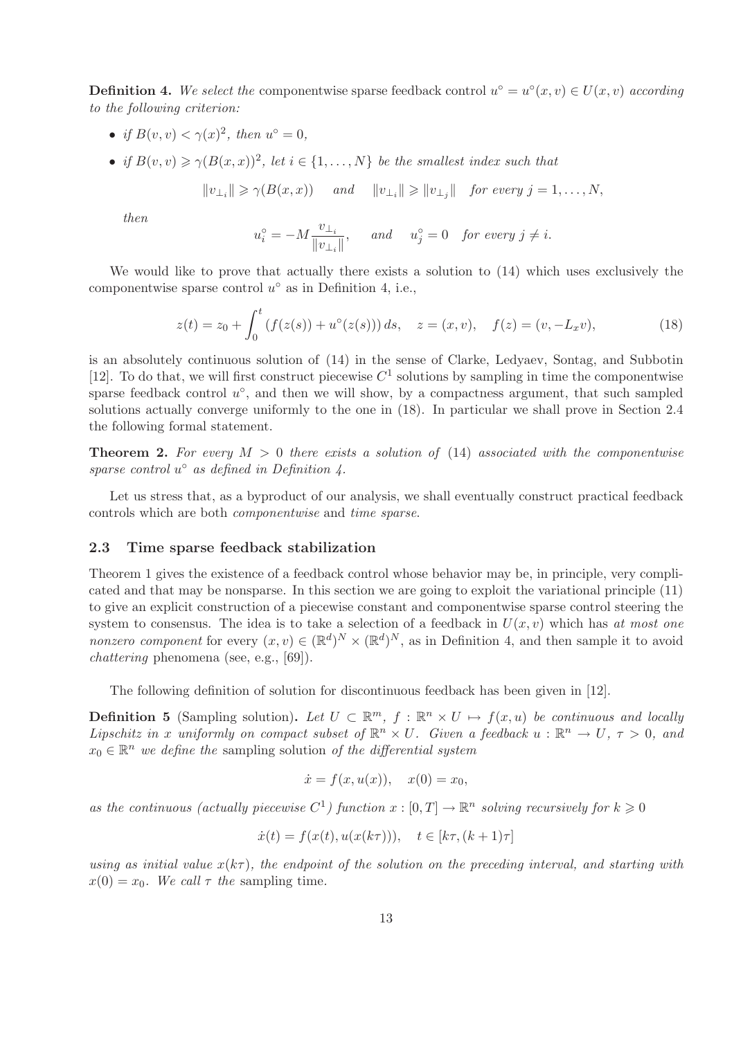**Definition 4.** We select the componentwise sparse feedback control  $u^{\circ} = u^{\circ}(x, v) \in U(x, v)$  according *to the following criterion:*

- *if*  $B(v, v) < \gamma(x)^2$ , then  $u^{\circ} = 0$ ,
- *if*  $B(v, v) \ge \gamma (B(x, x))^2$ , let  $i \in \{1, ..., N\}$  be the smallest index such that

 $||v_{\perp_i}|| \ge \gamma(B(x, x))$  *and*  $||v_{\perp_i}|| \ge ||v_{\perp_j}||$  *for every*  $j = 1, ..., N$ ,

*then*

$$
u_i^\circ = -M \frac{v_{\perp_i}}{\|v_{\perp_i}\|}, \quad \text{and} \quad u_j^\circ = 0 \quad \textit{for every } j \neq i.
$$

We would like to prove that actually there exists a solution to (14) which uses exclusively the componentwise sparse control  $u^{\circ}$  as in Definition 4, i.e.,

$$
z(t) = z_0 + \int_0^t \left( f(z(s)) + u^\circ(z(s)) \right) ds, \quad z = (x, v), \quad f(z) = (v, -L_x v), \tag{18}
$$

is an absolutely continuous solution of (14) in the sense of Clarke, Ledyaev, Sontag, and Subbotin [12]. To do that, we will first construct piecewise  $C<sup>1</sup>$  solutions by sampling in time the componentwise sparse feedback control  $u^{\circ}$ , and then we will show, by a compactness argument, that such sampled solutions actually converge uniformly to the one in (18). In particular we shall prove in Section 2.4 the following formal statement.

Theorem 2. *For every* M > 0 *there exists a solution of* (14) *associated with the componentwise sparse control* u ◦ *as defined in Definition 4.*

Let us stress that, as a byproduct of our analysis, we shall eventually construct practical feedback controls which are both *componentwise* and *time sparse*.

#### 2.3 Time sparse feedback stabilization

Theorem 1 gives the existence of a feedback control whose behavior may be, in principle, very complicated and that may be nonsparse. In this section we are going to exploit the variational principle (11) to give an explicit construction of a piecewise constant and componentwise sparse control steering the system to consensus. The idea is to take a selection of a feedback in  $U(x, v)$  which has *at most one nonzero component* for every  $(x, v) \in (\mathbb{R}^d)^N \times (\mathbb{R}^d)^N$ , as in Definition 4, and then sample it to avoid *chattering* phenomena (see, e.g., [69]).

The following definition of solution for discontinuous feedback has been given in [12].

**Definition 5** (Sampling solution). Let  $U \subset \mathbb{R}^m$ ,  $f : \mathbb{R}^n \times U \mapsto f(x, u)$  be continuous and locally *Lipschitz in* x *uniformly on compact subset of*  $\mathbb{R}^n \times U$ . Given a feedback  $u : \mathbb{R}^n \to U$ ,  $\tau > 0$ , and  $x_0 \in \mathbb{R}^n$  *we define the* sampling solution *of the differential system* 

$$
\dot{x} = f(x, u(x)), \quad x(0) = x_0,
$$

as the continuous (actually piecewise  $C^1$ ) function  $x : [0, T] \to \mathbb{R}^n$  solving recursively for  $k \geq 0$ 

$$
\dot{x}(t) = f(x(t), u(x(k\tau))), \quad t \in [k\tau, (k+1)\tau]
$$

*using as initial value*  $x(k\tau)$ *, the endpoint of the solution on the preceding interval, and starting with*  $x(0) = x_0$ *. We call*  $\tau$  *the* sampling time*.*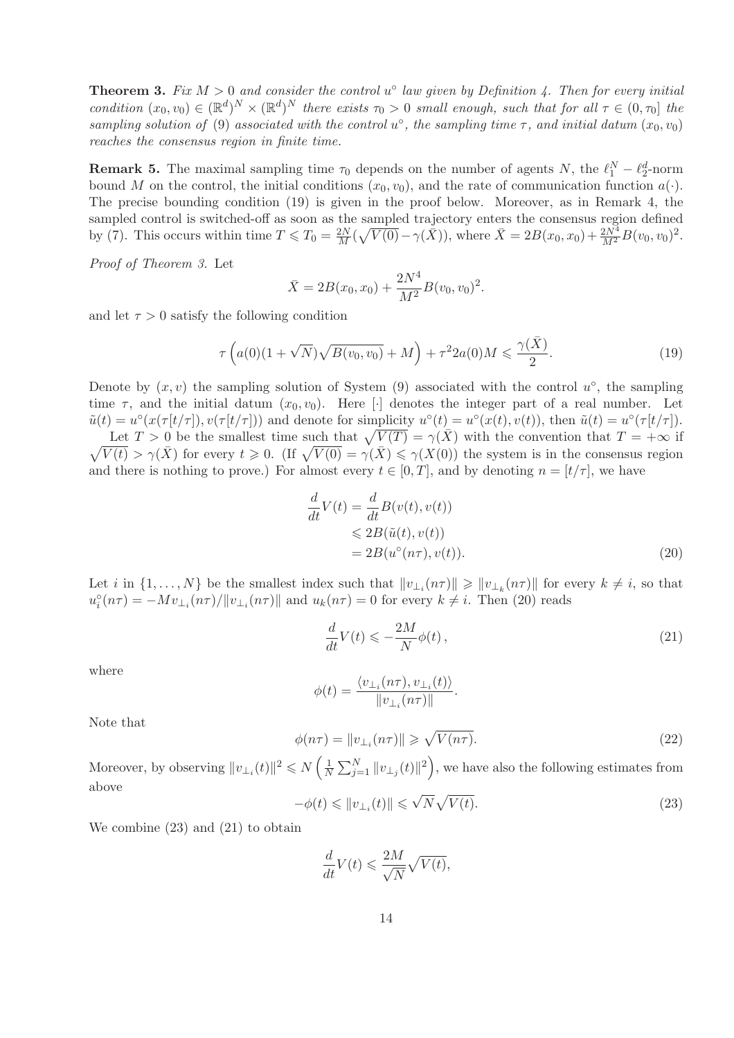**Theorem 3.** Fix  $M > 0$  and consider the control  $u^{\circ}$  law given by Definition 4. Then for every initial *condition*  $(x_0, v_0) \in (\mathbb{R}^d)^N \times (\mathbb{R}^d)^N$  *there exists*  $\tau_0 > 0$  *small enough, such that for all*  $\tau \in (0, \tau_0]$  *the sampling solution of* (9) *associated with the control*  $u^{\circ}$ , the sampling time  $\tau$ , and initial datum  $(x_0, v_0)$ *reaches the consensus region in finite time.*

**Remark 5.** The maximal sampling time  $\tau_0$  depends on the number of agents N, the  $\ell_1^N - \ell_2^d$ -norm bound M on the control, the initial conditions  $(x_0, v_0)$ , and the rate of communication function  $a(\cdot)$ . The precise bounding condition (19) is given in the proof below. Moreover, as in Remark 4, the sampled control is switched-off as soon as the sampled trajectory enters the consensus region defined by (7). This occurs within time  $T \le T_0 = \frac{2N}{M} (\sqrt{V(0)} - \gamma(\bar{X}))$ , where  $\bar{X} = 2B(x_0, x_0) + \frac{2N^4}{M^2} B(v_0, v_0)^2$ .

*Proof of Theorem 3.* Let

$$
\bar{X} = 2B(x_0, x_0) + \frac{2N^4}{M^2}B(v_0, v_0)^2.
$$

and let  $\tau > 0$  satisfy the following condition

$$
\tau\left(a(0)(1+\sqrt{N})\sqrt{B(v_0,v_0)}+M\right)+\tau^2 2a(0)M \leq \frac{\gamma(\bar{X})}{2}.
$$
\n(19)

Denote by  $(x, v)$  the sampling solution of System (9) associated with the control  $u^{\circ}$ , the sampling time  $\tau$ , and the initial datum  $(x_0, v_0)$ . Here [·] denotes the integer part of a real number. Let  $\tilde{u}(t) = u^{\circ}(x(\tau[t/\tau]), v(\tau[t/\tau]))$  and denote for simplicity  $u^{\circ}(t) = u^{\circ}(x(t), v(t))$ , then  $\tilde{u}(t) = u^{\circ}(\tau[t/\tau])$ . Let  $T > 0$  be the smallest time such that  $\sqrt{V(T)} = \gamma(\bar{X})$  with the convention that  $T = +\infty$  if  $\sqrt{V(t)} > \gamma(\bar{X})$  for every  $t \ge 0$ . (If  $\sqrt{V(0)} = \gamma(\bar{X}) \le \gamma(X(0))$ ) the system is in the consensus region

and there is nothing to prove.) For almost every  $t \in [0, T]$ , and by denoting  $n = [t/\tau]$ , we have

$$
\frac{d}{dt}V(t) = \frac{d}{dt}B(v(t), v(t))
$$
  
\n
$$
\leq 2B(\tilde{u}(t), v(t))
$$
  
\n
$$
= 2B(u^{\circ}(n\tau), v(t)).
$$
\n(20)

Let *i* in  $\{1, \ldots, N\}$  be the smallest index such that  $\|v_{\perp_i}(n\tau)\| \geq \|v_{\perp_k}(n\tau)\|$  for every  $k \neq i$ , so that  $u_i^{\circ}(n\tau) = -Mv_{\perp_i}(n\tau)/||v_{\perp_i}(n\tau)||$  and  $u_k(n\tau) = 0$  for every  $k \neq i$ . Then (20) reads

$$
\frac{d}{dt}V(t) \leqslant -\frac{2M}{N}\phi(t)\,,\tag{21}
$$

where

$$
\phi(t) = \frac{\langle v_{\perp_i}(n\tau), v_{\perp_i}(t) \rangle}{\|v_{\perp_i}(n\tau)\|}.
$$

Note that

$$
\phi(n\tau) = \|v_{\perp_i}(n\tau)\| \geqslant \sqrt{V(n\tau)}.
$$
\n(22)

Moreover, by observing  $||v_{\perp_i}(t)||^2 \le N\left(\frac{1}{N}\right)$  $\frac{1}{N} \sum_{j=1}^{N} ||v_{\perp_j}(t)||^2$ , we have also the following estimates from above

$$
-\phi(t) \leq \|v_{\perp_i}(t)\| \leq \sqrt{N}\sqrt{V(t)}.\tag{23}
$$

We combine (23) and (21) to obtain

$$
\frac{d}{dt}V(t) \leqslant \frac{2M}{\sqrt{N}}\sqrt{V(t)},
$$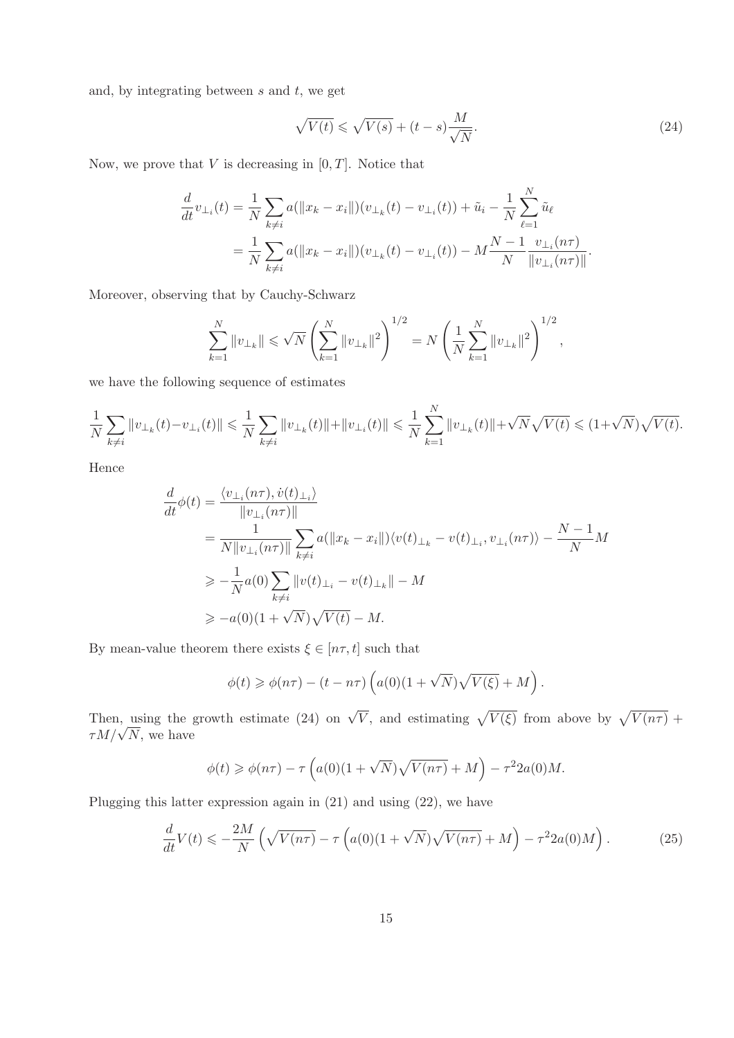and, by integrating between  $s$  and  $t$ , we get

$$
\sqrt{V(t)} \leqslant \sqrt{V(s)} + (t - s) \frac{M}{\sqrt{N}}.\tag{24}
$$

Now, we prove that  $V$  is decreasing in  $[0, T]$ . Notice that

$$
\frac{d}{dt}v_{\perp_i}(t) = \frac{1}{N} \sum_{k \neq i} a(||x_k - x_i||)(v_{\perp_k}(t) - v_{\perp_i}(t)) + \tilde{u}_i - \frac{1}{N} \sum_{\ell=1}^N \tilde{u}_\ell
$$
\n
$$
= \frac{1}{N} \sum_{k \neq i} a(||x_k - x_i||)(v_{\perp_k}(t) - v_{\perp_i}(t)) - M \frac{N-1}{N} \frac{v_{\perp_i}(n\tau)}{||v_{\perp_i}(n\tau)||}.
$$

Moreover, observing that by Cauchy-Schwarz

$$
\sum_{k=1}^{N} \|v_{\perp k}\| \leqslant \sqrt{N} \left( \sum_{k=1}^{N} \|v_{\perp k}\|^2 \right)^{1/2} = N \left( \frac{1}{N} \sum_{k=1}^{N} \|v_{\perp k}\|^2 \right)^{1/2},
$$

we have the following sequence of estimates

$$
\frac{1}{N} \sum_{k \neq i} ||v_{\perp_k}(t) - v_{\perp_i}(t)|| \leq \frac{1}{N} \sum_{k \neq i} ||v_{\perp_k}(t)|| + ||v_{\perp_i}(t)|| \leq \frac{1}{N} \sum_{k=1}^N ||v_{\perp_k}(t)|| + \sqrt{N} \sqrt{V(t)} \leq (1 + \sqrt{N}) \sqrt{V(t)}.
$$

Hence

$$
\frac{d}{dt}\phi(t) = \frac{\langle v_{\perp_i}(n\tau), \dot{v}(t)_{\perp_i}\rangle}{\|v_{\perp_i}(n\tau)\|} \n= \frac{1}{N\|v_{\perp_i}(n\tau)\|} \sum_{k\neq i} a(\|x_k - x_i\|) \langle v(t)_{\perp_k} - v(t)_{\perp_i}, v_{\perp_i}(n\tau) \rangle - \frac{N-1}{N}M \n\geq -\frac{1}{N}a(0) \sum_{k\neq i} \|v(t)_{\perp_i} - v(t)_{\perp_k}\| - M \n\geq -a(0)(1 + \sqrt{N})\sqrt{V(t)} - M.
$$

By mean-value theorem there exists  $\xi \in [n\tau, t]$  such that

$$
\phi(t) \geq \phi(n\tau) - (t - n\tau) \left( a(0)(1 + \sqrt{N})\sqrt{V(\xi)} + M \right).
$$

Then, using the growth estimate (24) on  $\sqrt{V}$ , and estimating  $\sqrt{V(\xi)}$  from above by  $\sqrt{V(n\tau)}$  +  $\tau M/\sqrt{N}$ , we have

$$
\phi(t) \geq \phi(n\tau) - \tau \left( a(0)(1 + \sqrt{N})\sqrt{V(n\tau)} + M \right) - \tau^2 2a(0)M.
$$

Plugging this latter expression again in (21) and using (22), we have

$$
\frac{d}{dt}V(t) \leqslant -\frac{2M}{N} \left( \sqrt{V(n\tau)} - \tau \left( a(0)(1+\sqrt{N})\sqrt{V(n\tau)} + M \right) - \tau^2 2a(0)M \right). \tag{25}
$$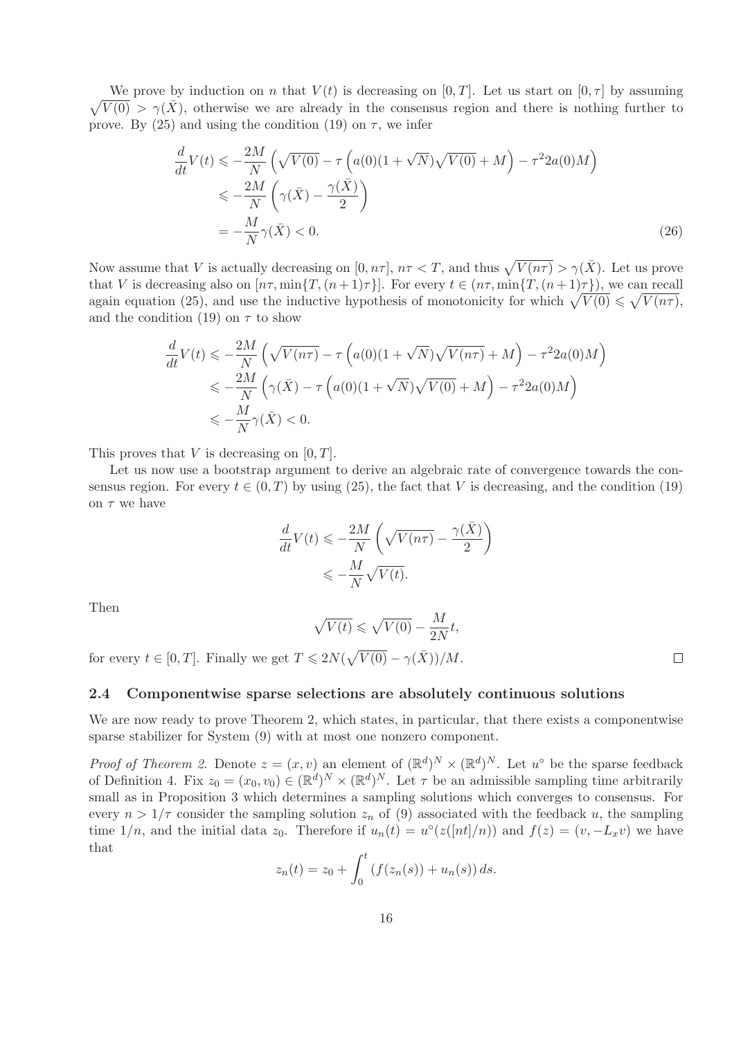$\sqrt{V(0)} > \gamma(\bar{X})$ , otherwise we are already in the consensus region and there is nothing further to We prove by induction on n that  $V(t)$  is decreasing on [0, T]. Let us start on [0,  $\tau$ ] by assuming prove. By (25) and using the condition (19) on  $\tau$ , we infer

$$
\frac{d}{dt}V(t) \leqslant -\frac{2M}{N} \left( \sqrt{V(0)} - \tau \left( a(0)(1 + \sqrt{N})\sqrt{V(0)} + M \right) - \tau^2 2a(0)M \right)
$$
\n
$$
\leqslant -\frac{2M}{N} \left( \gamma(\bar{X}) - \frac{\gamma(\bar{X})}{2} \right)
$$
\n
$$
= -\frac{M}{N} \gamma(\bar{X}) < 0. \tag{26}
$$

Now assume that V is actually decreasing on  $[0, n\tau]$ ,  $n\tau < T$ , and thus  $\sqrt{V(n\tau)} > \gamma(\bar{X})$ . Let us prove that V is decreasing also on  $[n\tau, \min\{T,(n+1)\tau\}]$ . For every  $t \in (n\tau, \min\{T,(n+1)\tau\})$ , we can recall again equation (25), and use the inductive hypothesis of monotonicity for which  $\sqrt{V(0)} \leq \sqrt{V(n\tau)}$ , and the condition (19) on  $\tau$  to show

$$
\frac{d}{dt}V(t) \leq -\frac{2M}{N} \left( \sqrt{V(n\tau)} - \tau \left( a(0)(1 + \sqrt{N})\sqrt{V(n\tau)} + M \right) - \tau^2 2a(0)M \right)
$$
  

$$
\leq -\frac{2M}{N} \left( \gamma(\bar{X}) - \tau \left( a(0)(1 + \sqrt{N})\sqrt{V(0)} + M \right) - \tau^2 2a(0)M \right)
$$
  

$$
\leq -\frac{M}{N}\gamma(\bar{X}) < 0.
$$

This proves that  $V$  is decreasing on  $[0, T]$ .

Let us now use a bootstrap argument to derive an algebraic rate of convergence towards the consensus region. For every  $t \in (0, T)$  by using (25), the fact that V is decreasing, and the condition (19) on  $\tau$  we have

$$
\begin{split} \frac{d}{dt}V(t)&\leqslant-\frac{2M}{N}\left(\sqrt{V(n\tau)}-\frac{\gamma(\bar{X})}{2}\right)\\ &\leqslant-\frac{M}{N}\sqrt{V(t)}. \end{split}
$$

Then

$$
\sqrt{V(t)} \leqslant \sqrt{V(0)} - \frac{M}{2N}t,
$$

for every  $t \in [0, T]$ . Finally we get  $T \leq 2N(\sqrt{V(0)} - \gamma(\bar{X}))/M$ .

#### 2.4 Componentwise sparse selections are absolutely continuous solutions

We are now ready to prove Theorem 2, which states, in particular, that there exists a componentwise sparse stabilizer for System (9) with at most one nonzero component.

*Proof of Theorem 2.* Denote  $z = (x, v)$  an element of  $(\mathbb{R}^d)^N \times (\mathbb{R}^d)^N$ . Let  $u^{\circ}$  be the sparse feedback of Definition 4. Fix  $z_0 = (x_0, v_0) \in (\mathbb{R}^d)^N \times (\mathbb{R}^d)^N$ . Let  $\tau$  be an admissible sampling time arbitrarily small as in Proposition 3 which determines a sampling solutions which converges to consensus. For every  $n > 1/\tau$  consider the sampling solution  $z_n$  of (9) associated with the feedback u, the sampling time  $1/n$ , and the initial data  $z_0$ . Therefore if  $u_n(t) = u^{\circ}(z([nt]/n))$  and  $f(z) = (v, -L_xv)$  we have that

$$
z_n(t) = z_0 + \int_0^t \left( f(z_n(s)) + u_n(s) \right) ds.
$$

 $\Box$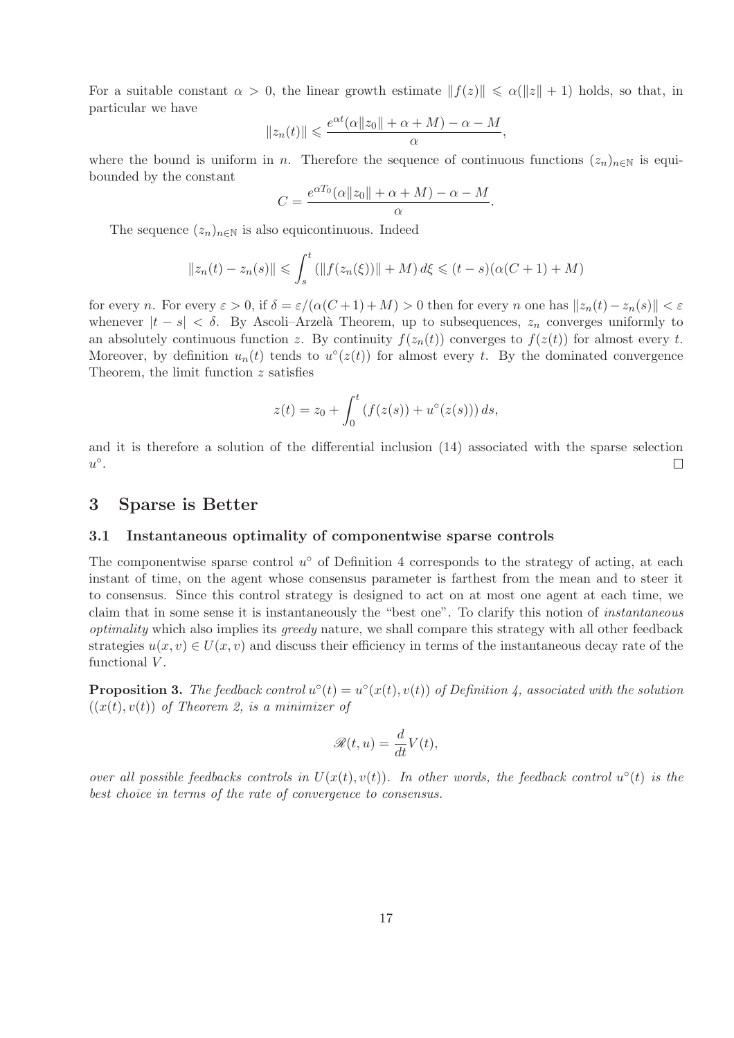For a suitable constant  $\alpha > 0$ , the linear growth estimate  $||f(z)|| \leq \alpha(||z|| + 1)$  holds, so that, in particular we have

$$
||z_n(t)|| \leqslant \frac{e^{\alpha t}(\alpha ||z_0|| + \alpha + M) - \alpha - M}{\alpha},
$$

where the bound is uniform in n. Therefore the sequence of continuous functions  $(z_n)_{n\in\mathbb{N}}$  is equibounded by the constant

$$
C = \frac{e^{\alpha T_0}(\alpha ||z_0|| + \alpha + M) - \alpha - M}{\alpha}.
$$

The sequence  $(z_n)_{n\in\mathbb{N}}$  is also equicontinuous. Indeed

$$
||z_n(t) - z_n(s)|| \le \int_s^t (||f(z_n(\xi))|| + M) d\xi \le (t - s)(\alpha(C + 1) + M)
$$

for every n. For every  $\varepsilon > 0$ , if  $\delta = \varepsilon/(\alpha(C+1)+M) > 0$  then for every n one has  $||z_n(t)-z_n(s)|| < \varepsilon$ whenever  $|t - s| < \delta$ . By Ascoli–Arzelà Theorem, up to subsequences,  $z_n$  converges uniformly to an absolutely continuous function z. By continuity  $f(z_n(t))$  converges to  $f(z(t))$  for almost every t. Moreover, by definition  $u_n(t)$  tends to  $u^{\circ}(z(t))$  for almost every t. By the dominated convergence Theorem, the limit function z satisfies

$$
z(t) = z_0 + \int_0^t (f(z(s)) + u^{\circ}(z(s))) ds,
$$

and it is therefore a solution of the differential inclusion (14) associated with the sparse selection  $u^{\circ}$ .  $\Box$ 

#### 3 Sparse is Better

### 3.1 Instantaneous optimality of componentwise sparse controls

The componentwise sparse control  $u^{\circ}$  of Definition 4 corresponds to the strategy of acting, at each instant of time, on the agent whose consensus parameter is farthest from the mean and to steer it to consensus. Since this control strategy is designed to act on at most one agent at each time, we claim that in some sense it is instantaneously the "best one". To clarify this notion of *instantaneous optimality* which also implies its *greedy* nature, we shall compare this strategy with all other feedback strategies  $u(x, v) \in U(x, v)$  and discuss their efficiency in terms of the instantaneous decay rate of the functional  $V$ .

**Proposition 3.** The feedback control  $u^{\circ}(t) = u^{\circ}(x(t), v(t))$  of Definition 4, associated with the solution  $((x(t), v(t))$  *of Theorem 2, is a minimizer of* 

$$
\mathscr{R}(t, u) = \frac{d}{dt} V(t),
$$

*over all possible feedbacks controls in*  $U(x(t), v(t))$ . In other words, the feedback control  $u^{\circ}(t)$  is the *best choice in terms of the rate of convergence to consensus.*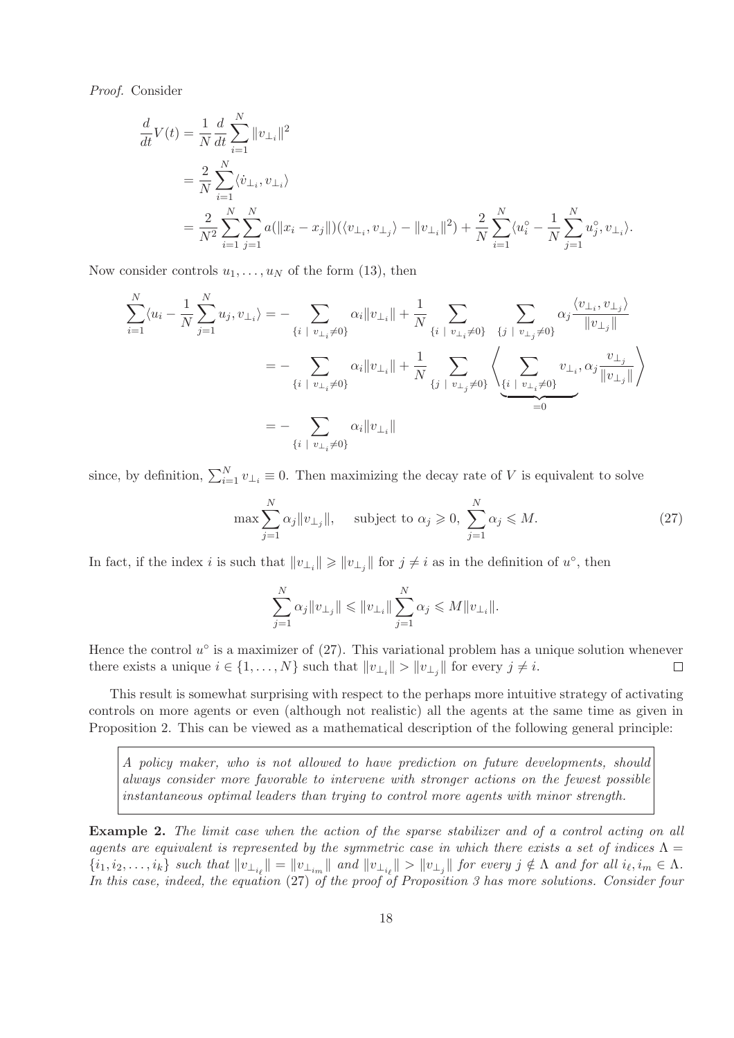*Proof.* Consider

$$
\frac{d}{dt}V(t) = \frac{1}{N} \frac{d}{dt} \sum_{i=1}^{N} ||v_{\perp_{i}}||^{2}
$$
\n
$$
= \frac{2}{N} \sum_{i=1}^{N} \langle \dot{v}_{\perp_{i}}, v_{\perp_{i}} \rangle
$$
\n
$$
= \frac{2}{N^{2}} \sum_{i=1}^{N} \sum_{j=1}^{N} a(||x_{i} - x_{j}||)(\langle v_{\perp_{i}}, v_{\perp_{j}} \rangle - ||v_{\perp_{i}}||^{2}) + \frac{2}{N} \sum_{i=1}^{N} \langle u_{i}^{\circ} - \frac{1}{N} \sum_{j=1}^{N} u_{j}^{\circ}, v_{\perp_{i}} \rangle.
$$

Now consider controls  $u_1, \ldots, u_N$  of the form (13), then

$$
\sum_{i=1}^{N} \langle u_i - \frac{1}{N} \sum_{j=1}^{N} u_j, v_{\perp_i} \rangle = - \sum_{\{i \mid v_{\perp_i} \neq 0\}} \alpha_i ||v_{\perp_i}|| + \frac{1}{N} \sum_{\{i \mid v_{\perp_i} \neq 0\}} \sum_{\{j \mid v_{\perp_j} \neq 0\}} \alpha_j \frac{\langle v_{\perp_i}, v_{\perp_j} \rangle}{||v_{\perp_j}||}
$$
  

$$
= - \sum_{\{i \mid v_{\perp_i} \neq 0\}} \alpha_i ||v_{\perp_i}|| + \frac{1}{N} \sum_{\{j \mid v_{\perp_j} \neq 0\}} \left\langle \sum_{\{i \mid v_{\perp_i} \neq 0\}} v_{\perp_i}, \alpha_j \frac{v_{\perp_j}}{||v_{\perp_j}||} \right\rangle
$$
  

$$
= - \sum_{\{i \mid v_{\perp_i} \neq 0\}} \alpha_i ||v_{\perp_i}||
$$

since, by definition,  $\sum_{i=1}^{N} v_{\perp i} \equiv 0$ . Then maximizing the decay rate of V is equivalent to solve

$$
\max \sum_{j=1}^{N} \alpha_j ||v_{\perp_j}||, \quad \text{subject to } \alpha_j \geqslant 0, \sum_{j=1}^{N} \alpha_j \leqslant M. \tag{27}
$$

In fact, if the index *i* is such that  $||v_{\perp_i}|| \ge ||v_{\perp_j}||$  for  $j \neq i$  as in the definition of  $u^{\circ}$ , then

$$
\sum_{j=1}^N \alpha_j \|v_{\perp_j}\| \leqslant \|v_{\perp_i}\| \sum_{j=1}^N \alpha_j \leqslant M \|v_{\perp_i}\|.
$$

Hence the control  $u^{\circ}$  is a maximizer of (27). This variational problem has a unique solution whenever there exists a unique  $i \in \{1, ..., N\}$  such that  $||v_{\perp_i}|| > ||v_{\perp_j}||$  for every  $j \neq i$ .  $\Box$ 

This result is somewhat surprising with respect to the perhaps more intuitive strategy of activating controls on more agents or even (although not realistic) all the agents at the same time as given in Proposition 2. This can be viewed as a mathematical description of the following general principle:

*A policy maker, who is not allowed to have prediction on future developments, should always consider more favorable to intervene with stronger actions on the fewest possible instantaneous optimal leaders than trying to control more agents with minor strength.*

Example 2. *The limit case when the action of the sparse stabilizer and of a control acting on all agents are equivalent is represented by the symmetric case in which there exists a set of indices*  $\Lambda$  =  $\{i_1, i_2, \ldots, i_k\}$  such that  $\|v_{\perp_{i_\ell}}\| = \|v_{\perp_{i_m}}\|$  and  $\|v_{\perp_{i_\ell}}\| > \|v_{\perp_j}\|$  for every  $j \notin \Lambda$  and for all  $i_\ell, i_m \in \Lambda$ . *In this case, indeed, the equation* (27) *of the proof of Proposition 3 has more solutions. Consider four*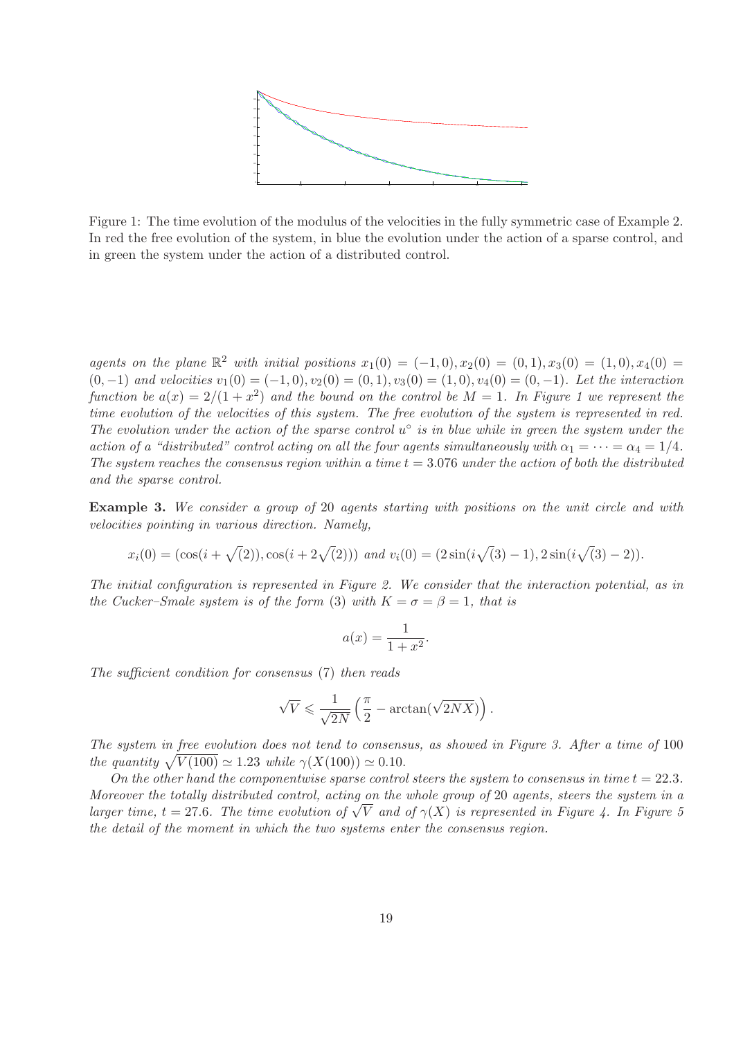

Figure 1: The time evolution of the modulus of the velocities in the fully symmetric case of Example 2. In red the free evolution of the system, in blue the evolution under the action of a sparse control, and in green the system under the action of a distributed control.

*agents on the plane*  $\mathbb{R}^2$  *with initial positions*  $x_1(0) = (-1,0), x_2(0) = (0,1), x_3(0) = (1,0), x_4(0) =$  $(0, -1)$  *and velocities*  $v_1(0) = (-1, 0), v_2(0) = (0, 1), v_3(0) = (1, 0), v_4(0) = (0, -1)$ *. Let the interaction* function be  $a(x) = 2/(1+x^2)$  and the bound on the control be  $M = 1$ . In Figure 1 we represent the *time evolution of the velocities of this system. The free evolution of the system is represented in red.* The evolution under the action of the sparse control  $u^{\circ}$  is in blue while in green the system under the *action of a "distributed" control acting on all the four agents simultaneously with*  $\alpha_1 = \cdots = \alpha_4 = 1/4$ . *The system reaches the consensus region within a time*  $t = 3.076$  *under the action of both the distributed and the sparse control.*

Example 3. *We consider a group of* 20 *agents starting with positions on the unit circle and with velocities pointing in various direction. Namely,*

$$
x_i(0) = (\cos(i + \sqrt{2})), \cos(i + 2\sqrt{2}))) \text{ and } v_i(0) = (2\sin(i\sqrt{3}) - 1), 2\sin(i\sqrt{3}) - 2).
$$

*The initial configuration is represented in Figure 2. We consider that the interaction potential, as in the Cucker–Smale system is of the form* (3) *with*  $K = \sigma = \beta = 1$ *, that is* 

$$
a(x) = \frac{1}{1+x^2}.
$$

*The sufficient condition for consensus* (7) *then reads*

$$
\sqrt{V} \leqslant \frac{1}{\sqrt{2N}} \left( \frac{\pi}{2} - \arctan(\sqrt{2NX}) \right).
$$

*The system in free evolution does not tend to consensus, as showed in Figure 3. After a time of* 100 *the quantity*  $\sqrt{V(100)} \simeq 1.23$  *while*  $\gamma(X(100)) \simeq 0.10$ .

*On the other hand the componentwise sparse control steers the system to consensus in time*  $t = 22.3$ *. Moreover the totally distributed control, acting on the whole group of* 20 *agents, steers the system in a larger time,*  $t = 27.6$ *. The time evolution of*  $\sqrt{V}$  *and of*  $\gamma(X)$  *is represented in Figure 4. In Figure 5 the detail of the moment in which the two systems enter the consensus region.*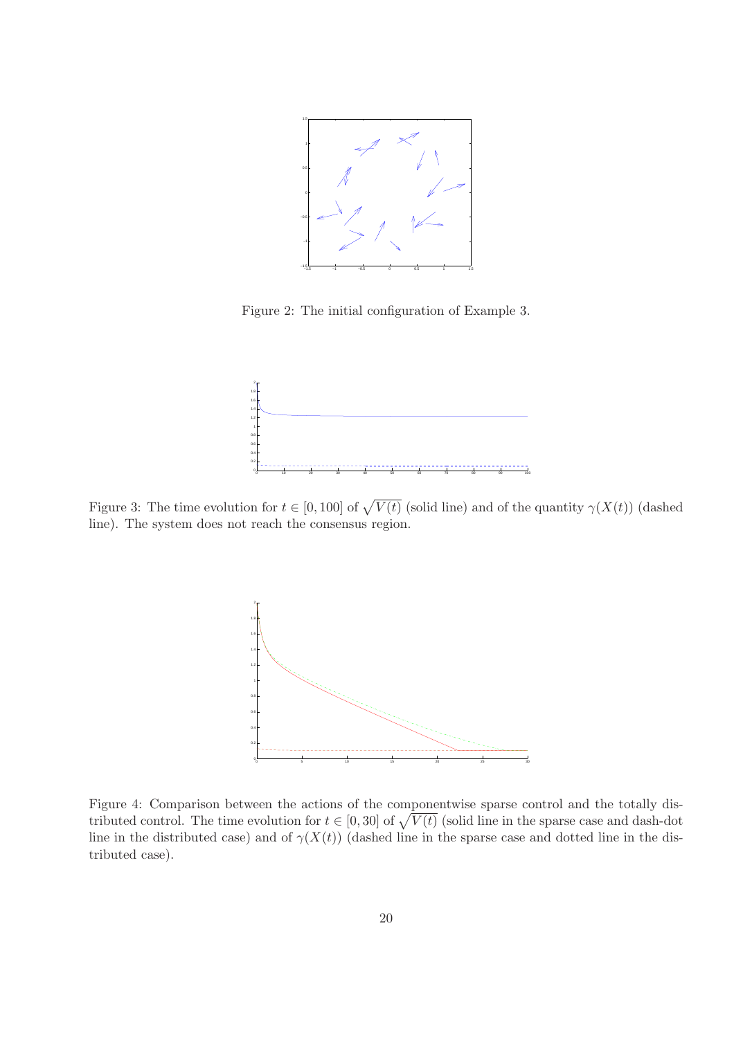

Figure 2: The initial configuration of Example 3.



Figure 3: The time evolution for  $t \in [0, 100]$  of  $\sqrt{V(t)}$  (solid line) and of the quantity  $\gamma(X(t))$  (dashed line). The system does not reach the consensus region.



Figure 4: Comparison between the actions of the componentwise sparse control and the totally distributed control. The time evolution for  $t \in [0, 30]$  of  $\sqrt{V(t)}$  (solid line in the sparse case and dash-dot line in the distributed case) and of  $\gamma(X(t))$  (dashed line in the sparse case and dotted line in the distributed case).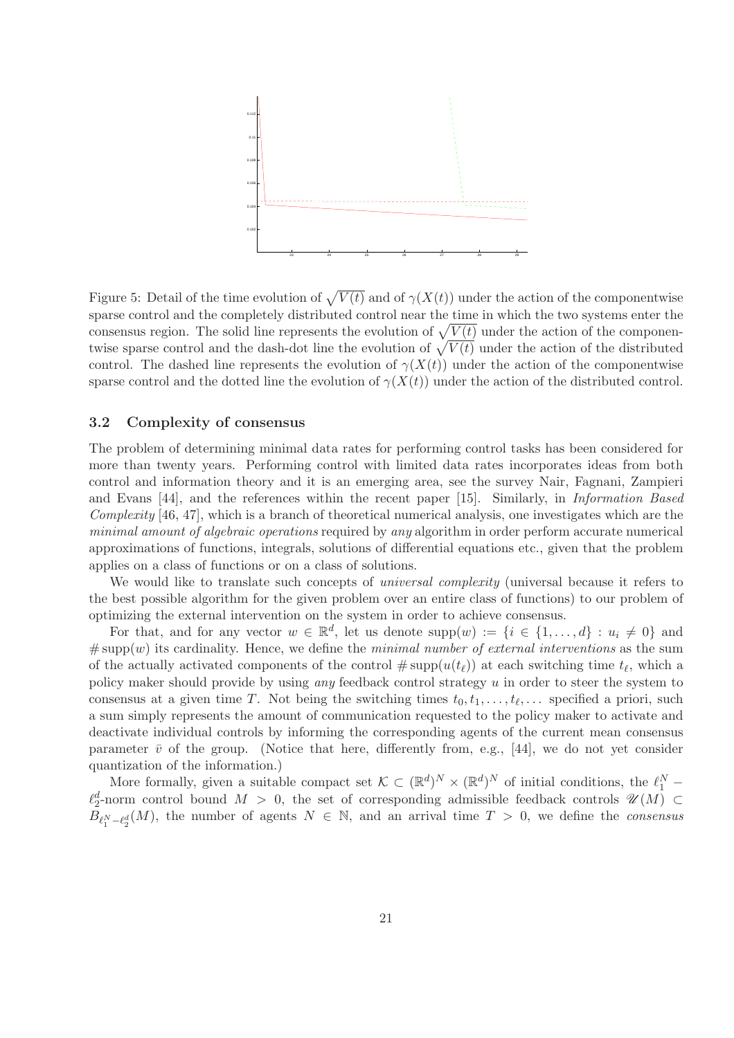

Figure 5: Detail of the time evolution of  $\sqrt{V(t)}$  and of  $\gamma(X(t))$  under the action of the componentwise sparse control and the completely distributed control near the time in which the two systems enter the consensus region. The solid line represents the evolution of  $\sqrt{V(t)}$  under the action of the componentwise sparse control and the dash-dot line the evolution of  $\sqrt{V(t)}$  under the action of the distributed control. The dashed line represents the evolution of  $\gamma(X(t))$  under the action of the componentwise sparse control and the dotted line the evolution of  $\gamma(X(t))$  under the action of the distributed control.

#### 3.2 Complexity of consensus

The problem of determining minimal data rates for performing control tasks has been considered for more than twenty years. Performing control with limited data rates incorporates ideas from both control and information theory and it is an emerging area, see the survey Nair, Fagnani, Zampieri and Evans [44], and the references within the recent paper [15]. Similarly, in *Information Based Complexity* [46, 47], which is a branch of theoretical numerical analysis, one investigates which are the *minimal amount of algebraic operations* required by *any* algorithm in order perform accurate numerical approximations of functions, integrals, solutions of differential equations etc., given that the problem applies on a class of functions or on a class of solutions.

We would like to translate such concepts of *universal complexity* (universal because it refers to the best possible algorithm for the given problem over an entire class of functions) to our problem of optimizing the external intervention on the system in order to achieve consensus.

For that, and for any vector  $w \in \mathbb{R}^d$ , let us denote  $\text{supp}(w) := \{i \in \{1, ..., d\} : u_i \neq 0\}$  and  $# \text{supp}(w)$  its cardinality. Hence, we define the *minimal number of external interventions* as the sum of the actually activated components of the control  $\#\text{supp}(u(t_\ell))$  at each switching time  $t_\ell$ , which a policy maker should provide by using *any* feedback control strategy u in order to steer the system to consensus at a given time T. Not being the switching times  $t_0, t_1, \ldots, t_\ell, \ldots$  specified a priori, such a sum simply represents the amount of communication requested to the policy maker to activate and deactivate individual controls by informing the corresponding agents of the current mean consensus parameter  $\bar{v}$  of the group. (Notice that here, differently from, e.g., [44], we do not yet consider quantization of the information.)

More formally, given a suitable compact set  $\mathcal{K} \subset (\mathbb{R}^d)^N \times (\mathbb{R}^d)^N$  of initial conditions, the  $\ell_1^N$  - $\ell_2^d$ -norm control bound  $M > 0$ , the set of corresponding admissible feedback controls  $\mathscr{U}(M) \subset$  $B_{\ell_1^N-\ell_2^d}(M)$ , the number of agents  $N \in \mathbb{N}$ , and an arrival time  $T > 0$ , we define the *consensus*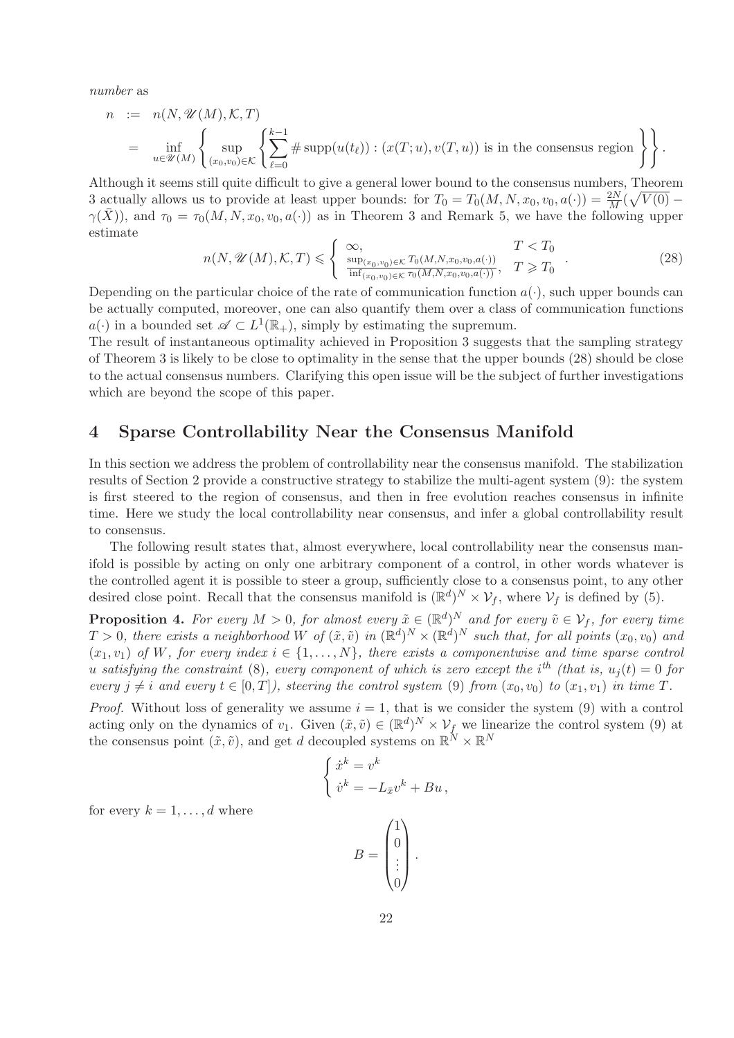*number* as

$$
n := n(N, \mathcal{U}(M), \mathcal{K}, T)
$$
  
= 
$$
\inf_{u \in \mathcal{U}(M)} \left\{ \sup_{(x_0, v_0) \in \mathcal{K}} \left\{ \sum_{\ell=0}^{k-1} \# \operatorname{supp}(u(t_{\ell})) : (x(T; u), v(T, u)) \text{ is in the consensus region} \right\} \right\}.
$$

Although it seems still quite difficult to give a general lower bound to the consensus numbers, Theorem 3 actually allows us to provide at least upper bounds: for  $T_0 = T_0(M, N, x_0, v_0, a(\cdot)) = \frac{2N}{M}(\sqrt{V(0)} \gamma(\bar{X})$ , and  $\tau_0 = \tau_0(M, N, x_0, v_0, a(\cdot))$  as in Theorem 3 and Remark 5, we have the following upper estimate

$$
n(N, \mathcal{U}(M), \mathcal{K}, T) \leqslant \begin{cases} \infty, & T < T_0 \\ \frac{\sup_{(x_0, v_0) \in \mathcal{K}} T_0(M, N, x_0, v_0, a(\cdot))}{\inf_{(x_0, v_0) \in \mathcal{K}} \tau_0(M, N, x_0, v_0, a(\cdot))}, & T \geqslant T_0 \end{cases} . \tag{28}
$$

Depending on the particular choice of the rate of communication function  $a(\cdot)$ , such upper bounds can be actually computed, moreover, one can also quantify them over a class of communication functions  $a(\cdot)$  in a bounded set  $\mathscr{A} \subset L^1(\mathbb{R}_+),$  simply by estimating the supremum.

The result of instantaneous optimality achieved in Proposition 3 suggests that the sampling strategy of Theorem 3 is likely to be close to optimality in the sense that the upper bounds (28) should be close to the actual consensus numbers. Clarifying this open issue will be the subject of further investigations which are beyond the scope of this paper.

## 4 Sparse Controllability Near the Consensus Manifold

In this section we address the problem of controllability near the consensus manifold. The stabilization results of Section 2 provide a constructive strategy to stabilize the multi-agent system (9): the system is first steered to the region of consensus, and then in free evolution reaches consensus in infinite time. Here we study the local controllability near consensus, and infer a global controllability result to consensus.

The following result states that, almost everywhere, local controllability near the consensus manifold is possible by acting on only one arbitrary component of a control, in other words whatever is the controlled agent it is possible to steer a group, sufficiently close to a consensus point, to any other desired close point. Recall that the consensus manifold is  $(\mathbb{R}^d)^N \times \mathcal{V}_f$ , where  $\mathcal{V}_f$  is defined by (5).

**Proposition 4.** For every  $M > 0$ , for almost every  $\tilde{x} \in (\mathbb{R}^d)^N$  and for every  $\tilde{v} \in \mathcal{V}_f$ , for every time  $T > 0$ , there exists a neighborhood W of  $(\tilde{x}, \tilde{v})$  in  $(\mathbb{R}^d)^N \times (\mathbb{R}^d)^N$  such that, for all points  $(x_0, v_0)$  and  $(x_1, v_1)$  *of* W, for every index  $i \in \{1, \ldots, N\}$ , there exists a componentwise and time sparse control  $\hat{u}$  *satisfying the constraint* (8), every component of which is zero except the i<sup>th</sup> (that is,  $u_j(t) = 0$  for *every*  $j \neq i$  *and every*  $t \in [0, T]$ *), steering the control system* (9) *from*  $(x_0, v_0)$  *to*  $(x_1, v_1)$  *in time* T.

*Proof.* Without loss of generality we assume  $i = 1$ , that is we consider the system (9) with a control acting only on the dynamics of  $v_1$ . Given  $(\tilde{x}, \tilde{v}) \in (\mathbb{R}^d)^N \times \mathcal{V}_f$  we linearize the control system (9) at the consensus point  $(\tilde{x}, \tilde{v})$ , and get d decoupled systems on  $\mathbb{R}^N \times \mathbb{R}^N$ 

$$
\begin{cases} \dot{x}^k = v^k\\ \dot{v}^k = -L_{\bar{x}}v^k + Bu \,, \end{cases}
$$

for every  $k = 1, \ldots, d$  where

$$
B = \begin{pmatrix} 1 \\ 0 \\ \vdots \\ 0 \end{pmatrix}.
$$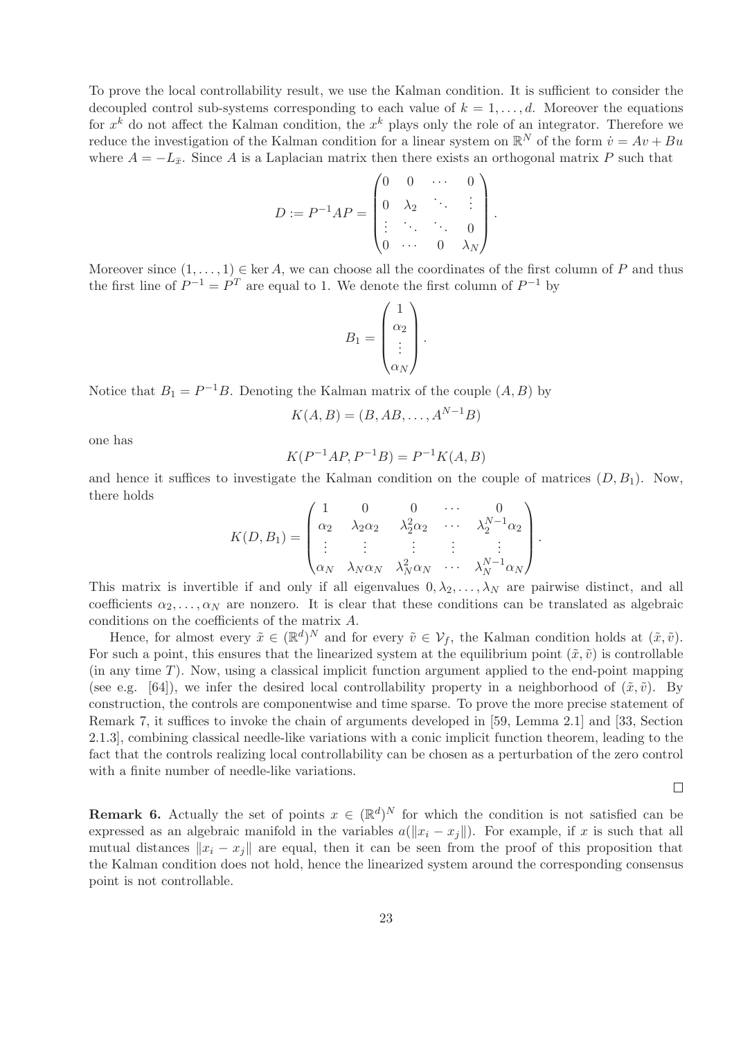To prove the local controllability result, we use the Kalman condition. It is sufficient to consider the decoupled control sub-systems corresponding to each value of  $k = 1, \ldots, d$ . Moreover the equations for  $x^k$  do not affect the Kalman condition, the  $x^k$  plays only the role of an integrator. Therefore we reduce the investigation of the Kalman condition for a linear system on  $\mathbb{R}^N$  of the form  $\dot{v} = Av + Bu$ where  $A = -L_{\bar{x}}$ . Since A is a Laplacian matrix then there exists an orthogonal matrix P such that

$$
D := P^{-1}AP = \begin{pmatrix} 0 & 0 & \cdots & 0 \\ 0 & \lambda_2 & \ddots & \vdots \\ \vdots & \ddots & \ddots & 0 \\ 0 & \cdots & 0 & \lambda_N \end{pmatrix}.
$$

Moreover since  $(1, \ldots, 1) \in \text{ker } A$ , we can choose all the coordinates of the first column of P and thus the first line of  $P^{-1} = P^T$  are equal to 1. We denote the first column of  $P^{-1}$  by

$$
B_1 = \begin{pmatrix} 1 \\ \alpha_2 \\ \vdots \\ \alpha_N \end{pmatrix}.
$$

Notice that  $B_1 = P^{-1}B$ . Denoting the Kalman matrix of the couple  $(A, B)$  by

$$
K(A, B) = (B, AB, \dots, A^{N-1}B)
$$

one has

$$
K(P^{-1}AP, P^{-1}B) = P^{-1}K(A, B)
$$

and hence it suffices to investigate the Kalman condition on the couple of matrices  $(D, B_1)$ . Now, there holds

$$
K(D, B_1) = \begin{pmatrix} 1 & 0 & 0 & \cdots & 0 \\ \alpha_2 & \lambda_2 \alpha_2 & \lambda_2^2 \alpha_2 & \cdots & \lambda_2^{N-1} \alpha_2 \\ \vdots & \vdots & \vdots & \vdots & \vdots \\ \alpha_N & \lambda_N \alpha_N & \lambda_N^2 \alpha_N & \cdots & \lambda_N^{N-1} \alpha_N \end{pmatrix}.
$$

This matrix is invertible if and only if all eigenvalues  $0, \lambda_2, \ldots, \lambda_N$  are pairwise distinct, and all coefficients  $\alpha_2, \ldots, \alpha_N$  are nonzero. It is clear that these conditions can be translated as algebraic conditions on the coefficients of the matrix A.

Hence, for almost every  $\tilde{x} \in (\mathbb{R}^d)^N$  and for every  $\tilde{v} \in \mathcal{V}_f$ , the Kalman condition holds at  $(\tilde{x}, \tilde{v})$ . For such a point, this ensures that the linearized system at the equilibrium point  $(\tilde{x}, \tilde{v})$  is controllable (in any time  $T$ ). Now, using a classical implicit function argument applied to the end-point mapping (see e.g. [64]), we infer the desired local controllability property in a neighborhood of  $(\tilde{x}, \tilde{v})$ . By construction, the controls are componentwise and time sparse. To prove the more precise statement of Remark 7, it suffices to invoke the chain of arguments developed in [59, Lemma 2.1] and [33, Section 2.1.3], combining classical needle-like variations with a conic implicit function theorem, leading to the fact that the controls realizing local controllability can be chosen as a perturbation of the zero control with a finite number of needle-like variations.

 $\Box$ 

**Remark 6.** Actually the set of points  $x \in (\mathbb{R}^d)^N$  for which the condition is not satisfied can be expressed as an algebraic manifold in the variables  $a(\Vert x_i - x_j \Vert)$ . For example, if x is such that all mutual distances  $||x_i - x_j||$  are equal, then it can be seen from the proof of this proposition that the Kalman condition does not hold, hence the linearized system around the corresponding consensus point is not controllable.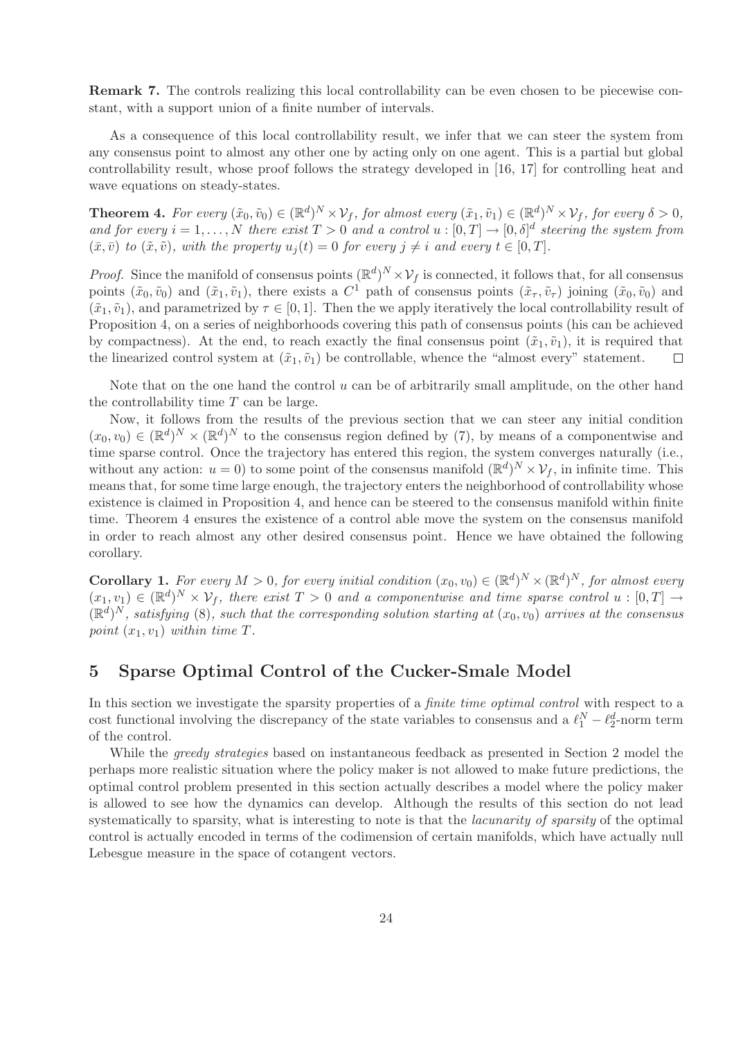Remark 7. The controls realizing this local controllability can be even chosen to be piecewise constant, with a support union of a finite number of intervals.

As a consequence of this local controllability result, we infer that we can steer the system from any consensus point to almost any other one by acting only on one agent. This is a partial but global controllability result, whose proof follows the strategy developed in [16, 17] for controlling heat and wave equations on steady-states.

**Theorem 4.** For every  $(\tilde{x}_0, \tilde{v}_0) \in (\mathbb{R}^d)^N \times \mathcal{V}_f$ , for almost every  $(\tilde{x}_1, \tilde{v}_1) \in (\mathbb{R}^d)^N \times \mathcal{V}_f$ , for every  $\delta > 0$ , and for every  $i = 1, ..., N$  there exist  $T > 0$  and a control  $u : [0, T] \to [0, \delta]^d$  steering the system from  $(\bar{x}, \bar{v})$  *to*  $(\tilde{x}, \tilde{v})$ *, with the property*  $u_i(t) = 0$  *for every*  $j \neq i$  *and every*  $t \in [0, T]$ *.* 

*Proof.* Since the manifold of consensus points  $(\mathbb{R}^d)^N \times \mathcal{V}_f$  is connected, it follows that, for all consensus points  $(\tilde{x}_0, \tilde{v}_0)$  and  $(\tilde{x}_1, \tilde{v}_1)$ , there exists a  $C^1$  path of consensus points  $(\tilde{x}_\tau, \tilde{v}_\tau)$  joining  $(\tilde{x}_0, \tilde{v}_0)$  and  $(\tilde{x}_1, \tilde{v}_1)$ , and parametrized by  $\tau \in [0, 1]$ . Then the we apply iteratively the local controllability result of Proposition 4, on a series of neighborhoods covering this path of consensus points (his can be achieved by compactness). At the end, to reach exactly the final consensus point  $(\tilde{x}_1, \tilde{v}_1)$ , it is required that the linearized control system at  $(\tilde{x}_1, \tilde{v}_1)$  be controllable, whence the "almost every" statement.  $\Box$ 

Note that on the one hand the control  $u$  can be of arbitrarily small amplitude, on the other hand the controllability time  $T$  can be large.

Now, it follows from the results of the previous section that we can steer any initial condition  $(x_0, v_0) \in (\mathbb{R}^d)^N \times (\mathbb{R}^d)^N$  to the consensus region defined by (7), by means of a componentwise and time sparse control. Once the trajectory has entered this region, the system converges naturally (i.e., without any action:  $u = 0$ ) to some point of the consensus manifold  $(\mathbb{R}^d)^N \times \mathcal{V}_f$ , in infinite time. This means that, for some time large enough, the trajectory enters the neighborhood of controllability whose existence is claimed in Proposition 4, and hence can be steered to the consensus manifold within finite time. Theorem 4 ensures the existence of a control able move the system on the consensus manifold in order to reach almost any other desired consensus point. Hence we have obtained the following corollary.

**Corollary 1.** For every  $M > 0$ , for every initial condition  $(x_0, v_0) \in (\mathbb{R}^d)^N \times (\mathbb{R}^d)^N$ , for almost every  $(x_1, v_1) \in (\mathbb{R}^d)^N \times \mathcal{V}_f$ , there exist  $T > 0$  and a componentwise and time sparse control  $u : [0, T] \rightarrow$  $(\mathbb{R}^d)^N$ , satisfying (8), such that the corresponding solution starting at  $(x_0, v_0)$  arrives at the consensus *point*  $(x_1, v_1)$  *within time T.* 

### 5 Sparse Optimal Control of the Cucker-Smale Model

In this section we investigate the sparsity properties of a *finite time optimal control* with respect to a cost functional involving the discrepancy of the state variables to consensus and a  $\ell_1^N - \ell_2^d$ -norm term of the control.

While the *greedy strategies* based on instantaneous feedback as presented in Section 2 model the perhaps more realistic situation where the policy maker is not allowed to make future predictions, the optimal control problem presented in this section actually describes a model where the policy maker is allowed to see how the dynamics can develop. Although the results of this section do not lead systematically to sparsity, what is interesting to note is that the *lacunarity of sparsity* of the optimal control is actually encoded in terms of the codimension of certain manifolds, which have actually null Lebesgue measure in the space of cotangent vectors.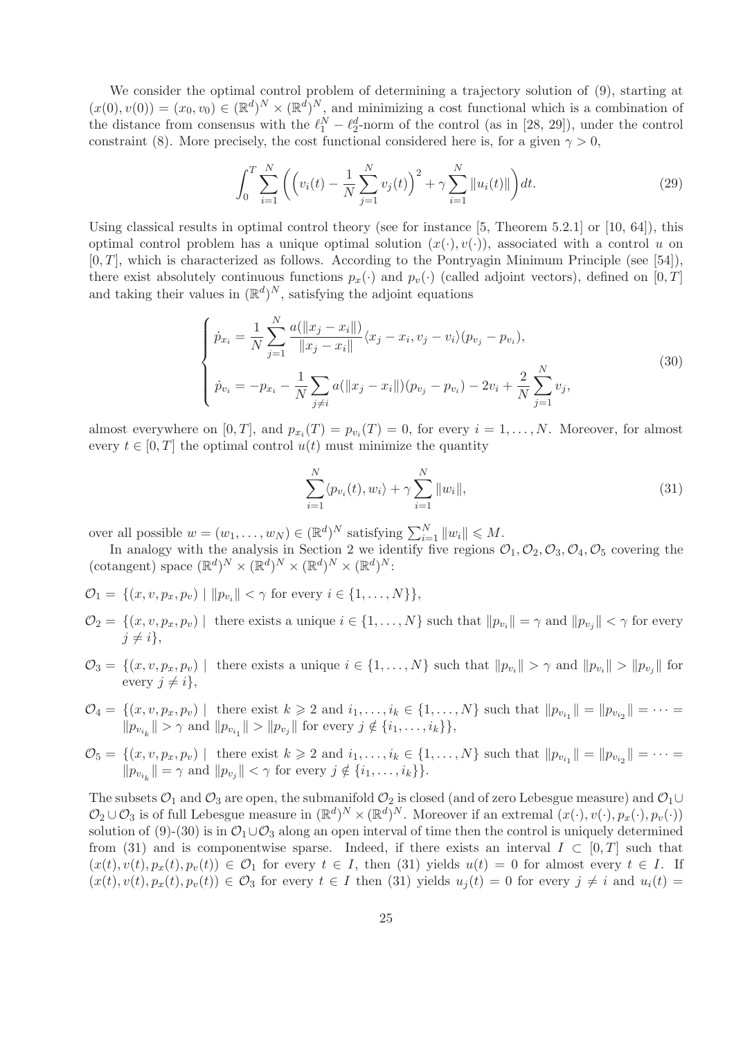We consider the optimal control problem of determining a trajectory solution of (9), starting at  $(x(0), v(0)) = (x_0, v_0) \in (\mathbb{R}^d)^N \times (\mathbb{R}^d)^N$ , and minimizing a cost functional which is a combination of the distance from consensus with the  $\ell_1^N - \ell_2^d$ -norm of the control (as in [28, 29]), under the control constraint (8). More precisely, the cost functional considered here is, for a given  $\gamma > 0$ ,

$$
\int_0^T \sum_{i=1}^N \left( \left( v_i(t) - \frac{1}{N} \sum_{j=1}^N v_j(t) \right)^2 + \gamma \sum_{i=1}^N \| u_i(t) \| \right) dt.
$$
 (29)

Using classical results in optimal control theory (see for instance  $[5,$  Theorem 5.2.1] or  $[10, 64]$ , this optimal control problem has a unique optimal solution  $(x(\cdot), v(\cdot))$ , associated with a control u on  $[0, T]$ , which is characterized as follows. According to the Pontryagin Minimum Principle (see [54]), there exist absolutely continuous functions  $p_x(\cdot)$  and  $p_y(\cdot)$  (called adjoint vectors), defined on [0, T] and taking their values in  $(\mathbb{R}^d)^N$ , satisfying the adjoint equations

$$
\begin{cases}\n\dot{p}_{x_i} = \frac{1}{N} \sum_{j=1}^{N} \frac{a(||x_j - x_i||)}{||x_j - x_i||} \langle x_j - x_i, v_j - v_i \rangle (p_{v_j} - p_{v_i}), \\
\dot{p}_{v_i} = -p_{x_i} - \frac{1}{N} \sum_{j \neq i} a(||x_j - x_i||) (p_{v_j} - p_{v_i}) - 2v_i + \frac{2}{N} \sum_{j=1}^{N} v_j,\n\end{cases}
$$
\n(30)

almost everywhere on  $[0, T]$ , and  $p_{x_i}(T) = p_{v_i}(T) = 0$ , for every  $i = 1, ..., N$ . Moreover, for almost every  $t \in [0, T]$  the optimal control  $u(t)$  must minimize the quantity

$$
\sum_{i=1}^{N} \langle p_{v_i}(t), w_i \rangle + \gamma \sum_{i=1}^{N} ||w_i||, \qquad (31)
$$

over all possible  $w = (w_1, \dots, w_N) \in (\mathbb{R}^d)^N$  satisfying  $\sum_{i=1}^N ||w_i|| \leq M$ .

In analogy with the analysis in Section 2 we identify five regions  $\mathcal{O}_1, \mathcal{O}_2, \mathcal{O}_3, \mathcal{O}_4, \mathcal{O}_5$  covering the (cotangent) space  $(\mathbb{R}^d)^N \times (\mathbb{R}^d)^N \times (\mathbb{R}^d)^N \times (\mathbb{R}^d)^N$ :

- $\mathcal{O}_1 = \{ (x, v, p_x, p_v) \mid ||p_{v_i}|| < \gamma \text{ for every } i \in \{1, ..., N\} \},\$
- $\mathcal{O}_2 = \{(x, v, p_x, p_v) \mid \text{ there exists a unique } i \in \{1, \ldots, N\} \text{ such that } ||p_{v_i}|| = \gamma \text{ and } ||p_{v_j}|| < \gamma \text{ for every } i \in \{1, \ldots, N\} \text{ such that } ||p_{v_i}|| = \gamma \text{ and } ||p_{v_j}|| < \gamma \text{ for every } j \in \{1, \ldots, N\} \text{ such that } ||p_{v_j}|| = \gamma \text{ and } ||p_{v_j}|| < \gamma \text{ for every } j \in \{1, \ldots, N\} \text{ such that } ||p_{v_j}|| = \gamma \text{ and } ||p$  $j \neq i$ ,
- $\mathcal{O}_3 = \{(x, v, p_x, p_y) \mid \text{there exists a unique } i \in \{1, \ldots, N\} \text{ such that } ||p_{v_i}|| > \gamma \text{ and } ||p_{v_i}|| > ||p_{v_j}|| \text{ for } j \leq k \}$ every  $j \neq i$ ,
- $\mathcal{O}_4 = \{(x, v, p_x, p_v) \mid \text{there exist } k \geqslant 2 \text{ and } i_1, \ldots, i_k \in \{1, \ldots, N\} \text{ such that } ||p_{v_{i_1}}|| = ||p_{v_{i_2}}|| = \cdots =$  $||p_{v_{i_k}}|| > \gamma$  and  $||p_{v_{i_1}}|| > ||p_{v_j}||$  for every  $j \notin \{i_1, ..., i_k\}$ ,
- $\mathcal{O}_5 = \{(x, v, p_x, p_v) \mid \text{ there exist } k \geq 2 \text{ and } i_1, \dots, i_k \in \{1, \dots, N\} \text{ such that } ||p_{v_{i_1}}|| = ||p_{v_{i_2}}|| = \dots =$  $||p_{v_{i_k}}|| = \gamma$  and  $||p_{v_j}|| < \gamma$  for every  $j \notin \{i_1, \ldots, i_k\}$ .

The subsets  $\mathcal{O}_1$  and  $\mathcal{O}_3$  are open, the submanifold  $\mathcal{O}_2$  is closed (and of zero Lebesgue measure) and  $\mathcal{O}_1 \cup$  $\mathcal{O}_2 \cup \mathcal{O}_3$  is of full Lebesgue measure in  $(\mathbb{R}^d)^N \times (\mathbb{R}^d)^N$ . Moreover if an extremal  $(x(\cdot), v(\cdot), p_x(\cdot), p_v(\cdot))$ solution of (9)-(30) is in  $\mathcal{O}_1 \cup \mathcal{O}_3$  along an open interval of time then the control is uniquely determined from (31) and is componentwise sparse. Indeed, if there exists an interval  $I \subset [0,T]$  such that  $(x(t), v(t), p_x(t), p_y(t)) \in \mathcal{O}_1$  for every  $t \in I$ , then (31) yields  $u(t) = 0$  for almost every  $t \in I$ . If  $(x(t), v(t), p_x(t), p_v(t)) \in \mathcal{O}_3$  for every  $t \in I$  then (31) yields  $u_i(t) = 0$  for every  $j \neq i$  and  $u_i(t) = 0$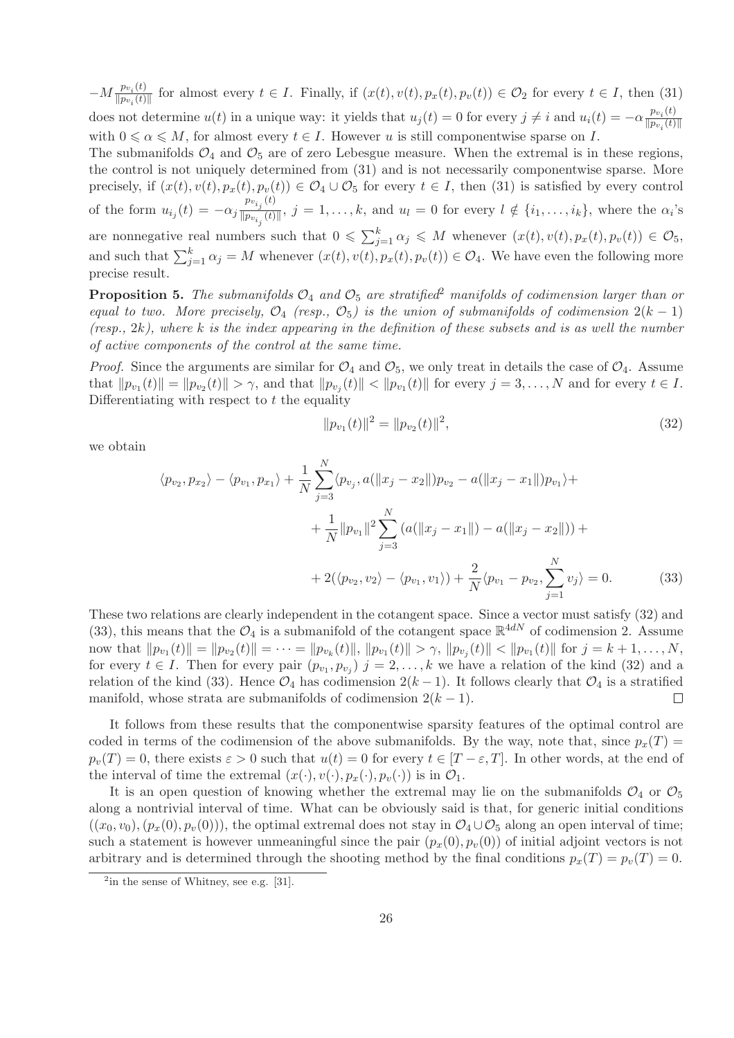$-M \frac{p_{v_i}(t)}{\|p_{v_i}(t)\|}$  $\frac{Fv_i(t)}{\|p_{v_i}(t)\|}$  for almost every  $t \in I$ . Finally, if  $(x(t), v(t), p_x(t), p_v(t)) \in \mathcal{O}_2$  for every  $t \in I$ , then (31) does not determine  $u(t)$  in a unique way: it yields that  $u_j(t) = 0$  for every  $j \neq i$  and  $u_i(t) = -\alpha \frac{p_{v_i}(t)}{|p_{v_i}(t)|}$  $||p_{v_i}(t)||$ with  $0 \le \alpha \le M$ , for almost every  $t \in I$ . However u is still componentwise sparse on I.

The submanifolds  $\mathcal{O}_4$  and  $\mathcal{O}_5$  are of zero Lebesgue measure. When the extremal is in these regions, the control is not uniquely determined from (31) and is not necessarily componentwise sparse. More precisely, if  $(x(t), v(t), p_x(t), p_v(t)) \in O_4 \cup O_5$  for every  $t \in I$ , then (31) is satisfied by every control of the form  $u_{i_j}(t) = -\alpha_j \frac{p_{v_{i_j}}(t)}{\|p_{v_{i.}}(t)}$  $\frac{f(x_i)}{\|p_{v_{i_j}}(t)\|}, j = 1, \ldots, k$ , and  $u_l = 0$  for every  $l \notin \{i_1, \ldots, i_k\}$ , where the  $\alpha_i$ 's are nonnegative real numbers such that  $0 \leq \sum_{j=1}^{k} \alpha_j \leq M$  whenever  $(x(t), v(t), p_x(t), p_v(t)) \in \mathcal{O}_5$ , and such that  $\sum_{j=1}^{k} \alpha_j = M$  whenever  $(x(t), v(t), p_x(t), p_v(t)) \in O_4$ . We have even the following more

precise result.

**Proposition 5.** The submanifolds  $O_4$  and  $O_5$  are stratified<sup>2</sup> manifolds of codimension larger than or *equal to two. More precisely,*  $O_4$  *(resp.,*  $O_5$ *) is the union of submanifolds of codimension*  $2(k-1)$ *(resp.,* 2k*), where* k *is the index appearing in the definition of these subsets and is as well the number of active components of the control at the same time.*

*Proof.* Since the arguments are similar for  $\mathcal{O}_4$  and  $\mathcal{O}_5$ , we only treat in details the case of  $\mathcal{O}_4$ . Assume that  $||p_{v_1}(t)|| = ||p_{v_2}(t)|| > \gamma$ , and that  $||p_{v_j}(t)|| < ||p_{v_1}(t)||$  for every  $j = 3, ..., N$  and for every  $t \in I$ . Differentiating with respect to  $t$  the equality

$$
||p_{v_1}(t)||^2 = ||p_{v_2}(t)||^2,
$$
\n(32)

we obtain

$$
\langle p_{v_2}, p_{x_2} \rangle - \langle p_{v_1}, p_{x_1} \rangle + \frac{1}{N} \sum_{j=3}^N \langle p_{v_j}, a(||x_j - x_2||) p_{v_2} - a(||x_j - x_1||) p_{v_1} \rangle + \frac{1}{N} ||p_{v_1}||^2 \sum_{j=3}^N (a(||x_j - x_1||) - a(||x_j - x_2||)) + \frac{2}{N} \langle p_{v_2}, v_2 \rangle - \langle p_{v_1}, v_1 \rangle + \frac{2}{N} \langle p_{v_1} - p_{v_2}, \sum_{j=1}^N v_j \rangle = 0.
$$
 (33)

These two relations are clearly independent in the cotangent space. Since a vector must satisfy (32) and (33), this means that the  $\mathcal{O}_4$  is a submanifold of the cotangent space  $\mathbb{R}^{4dN}$  of codimension 2. Assume now that  $||p_{v_1}(t)|| = ||p_{v_2}(t)|| = \cdots = ||p_{v_k}(t)||$ ,  $||p_{v_1}(t)|| > \gamma$ ,  $||p_{v_j}(t)|| < ||p_{v_1}(t)||$  for  $j = k + 1, ..., N$ , for every  $t \in I$ . Then for every pair  $(p_{v_1}, p_{v_j})$   $j = 2, \ldots, k$  we have a relation of the kind (32) and a relation of the kind (33). Hence  $\mathcal{O}_4$  has codimension  $2(k-1)$ . It follows clearly that  $\mathcal{O}_4$  is a stratified manifold, whose strata are submanifolds of codimension  $2(k-1)$ . manifold, whose strata are submanifolds of codimension  $2(k-1)$ .

It follows from these results that the componentwise sparsity features of the optimal control are coded in terms of the codimension of the above submanifolds. By the way, note that, since  $p_x(T)$  $p_v(T) = 0$ , there exists  $\varepsilon > 0$  such that  $u(t) = 0$  for every  $t \in [T - \varepsilon, T]$ . In other words, at the end of the interval of time the extremal  $(x(\cdot), v(\cdot), p_x(\cdot), p_y(\cdot))$  is in  $\mathcal{O}_1$ .

It is an open question of knowing whether the extremal may lie on the submanifolds  $\mathcal{O}_4$  or  $\mathcal{O}_5$ along a nontrivial interval of time. What can be obviously said is that, for generic initial conditions  $((x_0, v_0), (p_x(0), p_y(0)))$ , the optimal extremal does not stay in  $\mathcal{O}_4 \cup \mathcal{O}_5$  along an open interval of time; such a statement is however unmeaningful since the pair  $(p_x(0), p_y(0))$  of initial adjoint vectors is not arbitrary and is determined through the shooting method by the final conditions  $p_x(T) = p_y(T) = 0$ .

 $2$ in the sense of Whitney, see e.g. [31].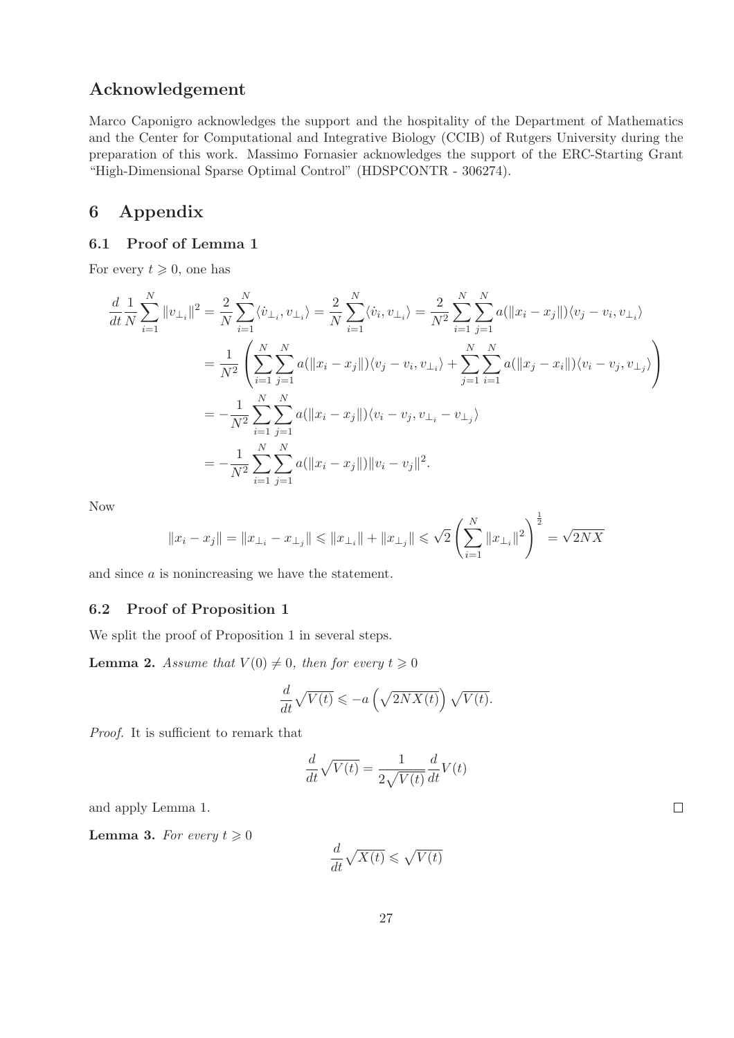# Acknowledgement

Marco Caponigro acknowledges the support and the hospitality of the Department of Mathematics and the Center for Computational and Integrative Biology (CCIB) of Rutgers University during the preparation of this work. Massimo Fornasier acknowledges the support of the ERC-Starting Grant "High-Dimensional Sparse Optimal Control" (HDSPCONTR - 306274).

# 6 Appendix

### 6.1 Proof of Lemma 1

For every  $t \geqslant 0$ , one has

$$
\frac{d}{dt}\frac{1}{N}\sum_{i=1}^{N}||v_{\perp_{i}}||^{2} = \frac{2}{N}\sum_{i=1}^{N}\langle\dot{v}_{\perp_{i}},v_{\perp_{i}}\rangle = \frac{2}{N}\sum_{i=1}^{N}\langle\dot{v}_{i},v_{\perp_{i}}\rangle = \frac{2}{N^{2}}\sum_{i=1}^{N}\sum_{j=1}^{N}a(||x_{i}-x_{j}||)\langle v_{j}-v_{i},v_{\perp_{i}}\rangle
$$

$$
= \frac{1}{N^{2}}\left(\sum_{i=1}^{N}\sum_{j=1}^{N}a(||x_{i}-x_{j}||)\langle v_{j}-v_{i},v_{\perp_{i}}\rangle + \sum_{j=1}^{N}\sum_{i=1}^{N}a(||x_{j}-x_{i}||)\langle v_{i}-v_{j},v_{\perp_{j}}\rangle\right)
$$

$$
= -\frac{1}{N^{2}}\sum_{i=1}^{N}\sum_{j=1}^{N}a(||x_{i}-x_{j}||)\langle v_{i}-v_{j},v_{\perp_{i}}-v_{\perp_{j}}\rangle
$$

$$
= -\frac{1}{N^{2}}\sum_{i=1}^{N}\sum_{j=1}^{N}a(||x_{i}-x_{j}||)||v_{i}-v_{j}||^{2}.
$$

Now

$$
||x_i - x_j|| = ||x_{\perp_i} - x_{\perp_j}|| \le ||x_{\perp_i}|| + ||x_{\perp_j}|| \le \sqrt{2} \left(\sum_{i=1}^N ||x_{\perp_i}||^2\right)^{\frac{1}{2}} = \sqrt{2NX}
$$

and since a is nonincreasing we have the statement.

#### 6.2 Proof of Proposition 1

We split the proof of Proposition 1 in several steps.

**Lemma 2.** *Assume that*  $V(0) \neq 0$ *, then for every*  $t \geq 0$ 

$$
\frac{d}{dt}\sqrt{V(t)} \leqslant -a\left(\sqrt{2NX(t)}\right)\sqrt{V(t)}.
$$

*Proof.* It is sufficient to remark that

$$
\frac{d}{dt}\sqrt{V(t)}=\frac{1}{2\sqrt{V(t)}}\frac{d}{dt}V(t)
$$

and apply Lemma 1.

**Lemma 3.** *For every*  $t \geq 0$ 

$$
\frac{d}{dt}\sqrt{X(t)} \leqslant \sqrt{V(t)}
$$

 $\Box$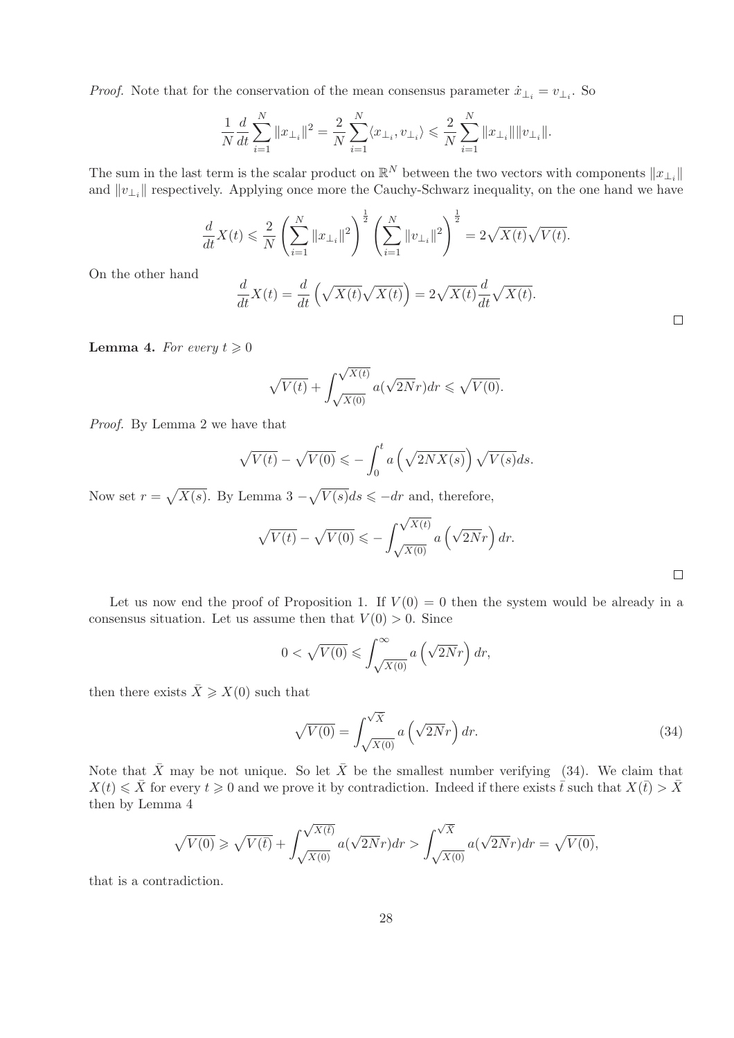*Proof.* Note that for the conservation of the mean consensus parameter  $\dot{x}_{\perp_i} = v_{\perp_i}$ . So

$$
\frac{1}{N}\frac{d}{dt}\sum_{i=1}^{N}||x_{\perp_{i}}||^{2} = \frac{2}{N}\sum_{i=1}^{N}\langle x_{\perp_{i}}, v_{\perp_{i}}\rangle \leq \frac{2}{N}\sum_{i=1}^{N}||x_{\perp_{i}}|| ||v_{\perp_{i}}||.
$$

The sum in the last term is the scalar product on  $\mathbb{R}^N$  between the two vectors with components  $||x_{\perp_i}||$ and  $||v_{\perp_i}||$  respectively. Applying once more the Cauchy-Schwarz inequality, on the one hand we have

$$
\frac{d}{dt}X(t) \leqslant \frac{2}{N} \left( \sum_{i=1}^{N} ||x_{\perp_{i}}||^{2} \right)^{\frac{1}{2}} \left( \sum_{i=1}^{N} ||v_{\perp_{i}}||^{2} \right)^{\frac{1}{2}} = 2\sqrt{X(t)}\sqrt{V(t)}.
$$

On the other hand

$$
\frac{d}{dt}X(t) = \frac{d}{dt}\left(\sqrt{X(t)}\sqrt{X(t)}\right) = 2\sqrt{X(t)}\frac{d}{dt}\sqrt{X(t)}.
$$

**Lemma 4.** For every  $t \geq 0$ 

$$
\sqrt{V(t)} + \int_{\sqrt{X(0)}}^{\sqrt{X(t)}} a(\sqrt{2N}r) dr \leq \sqrt{V(0)}.
$$

*Proof.* By Lemma 2 we have that

$$
\sqrt{V(t)} - \sqrt{V(0)} \leqslant -\int_0^t a\left(\sqrt{2NX(s)}\right)\sqrt{V(s)}ds.
$$

Now set  $r = \sqrt{X(s)}$ . By Lemma 3  $-\sqrt{V(s)}ds \leq -dr$  and, therefore,

$$
\sqrt{V(t)} - \sqrt{V(0)} \leqslant -\int_{\sqrt{X(0)}}^{\sqrt{X(t)}} a\left(\sqrt{2N}r\right) dr.
$$

 $\Box$ 

 $\Box$ 

Let us now end the proof of Proposition 1. If  $V(0) = 0$  then the system would be already in a consensus situation. Let us assume then that  $V(0) > 0$ . Since

$$
0 < \sqrt{V(0)} \leqslant \int_{\sqrt{X(0)}}^{\infty} a\left(\sqrt{2N}r\right) dr,
$$

then there exists  $\bar{X} \geqslant X(0)$  such that

$$
\sqrt{V(0)} = \int_{\sqrt{X(0)}}^{\sqrt{X}} a\left(\sqrt{2N}r\right) dr.
$$
\n(34)

Note that  $\bar{X}$  may be not unique. So let  $\bar{X}$  be the smallest number verifying (34). We claim that  $X(t) \leq \overline{X}$  for every  $t \geq 0$  and we prove it by contradiction. Indeed if there exists  $\overline{t}$  such that  $X(\overline{t}) > \overline{X}$ then by Lemma 4

$$
\sqrt{V(0)} \ge \sqrt{V(\overline{t})} + \int_{\sqrt{X(0)}}^{\sqrt{X(\overline{t})}} a(\sqrt{2N}r) dr > \int_{\sqrt{X(0)}}^{\sqrt{X}} a(\sqrt{2N}r) dr = \sqrt{V(0)},
$$

that is a contradiction.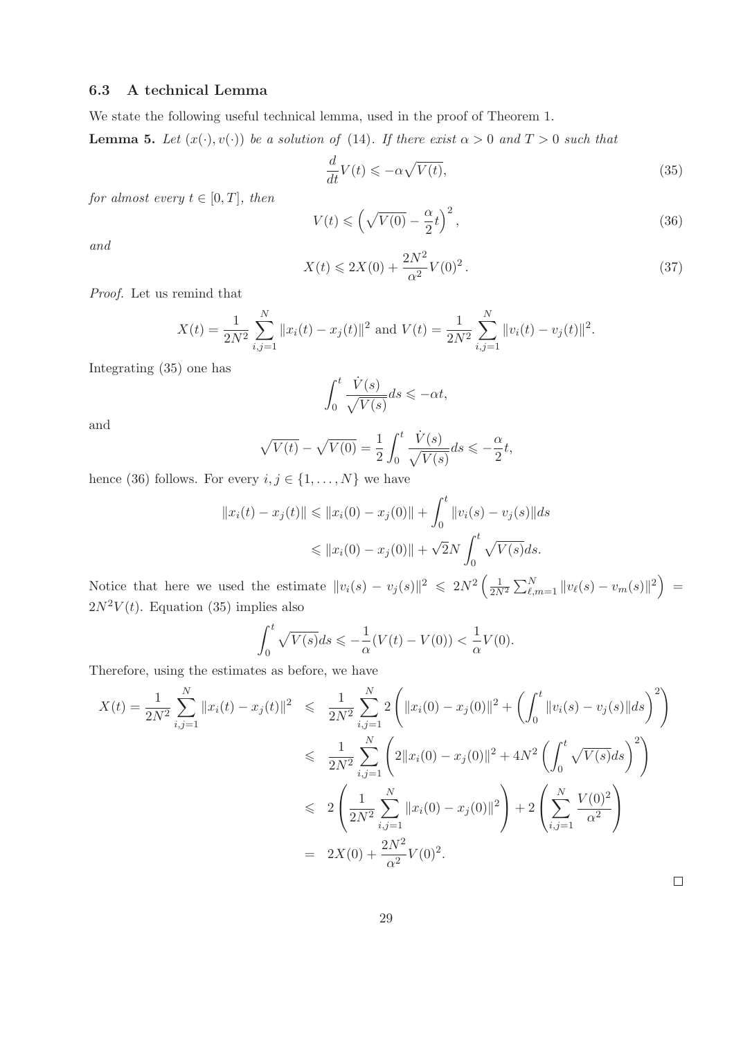#### 6.3 A technical Lemma

We state the following useful technical lemma, used in the proof of Theorem 1.

**Lemma 5.** Let  $(x(\cdot), v(\cdot))$  be a solution of (14). If there exist  $\alpha > 0$  and  $T > 0$  such that

$$
\frac{d}{dt}V(t) \leqslant -\alpha \sqrt{V(t)},\tag{35}
$$

*for almost every*  $t \in [0, T]$ *, then* 

$$
V(t) \leqslant \left(\sqrt{V(0)} - \frac{\alpha}{2}t\right)^2,\tag{36}
$$

*and*

$$
X(t) \le 2X(0) + \frac{2N^2}{\alpha^2} V(0)^2.
$$
\n(37)

*Proof.* Let us remind that

$$
X(t) = \frac{1}{2N^2} \sum_{i,j=1}^{N} ||x_i(t) - x_j(t)||^2
$$
 and  $V(t) = \frac{1}{2N^2} \sum_{i,j=1}^{N} ||v_i(t) - v_j(t)||^2$ .

Integrating (35) one has

$$
\int_0^t \frac{\dot{V}(s)}{\sqrt{V(s)}} ds \leq -\alpha t,
$$

and

$$
\sqrt{V(t)} - \sqrt{V(0)} = \frac{1}{2} \int_0^t \frac{\dot{V}(s)}{\sqrt{V(s)}} ds \leq -\frac{\alpha}{2}t,
$$

hence (36) follows. For every  $i, j \in \{1, ..., N\}$  we have

$$
||x_i(t) - x_j(t)|| \le ||x_i(0) - x_j(0)|| + \int_0^t ||v_i(s) - v_j(s)|| ds
$$
  

$$
\le ||x_i(0) - x_j(0)|| + \sqrt{2}N \int_0^t \sqrt{V(s)} ds.
$$

Notice that here we used the estimate  $||v_i(s) - v_j(s)||^2 \leq 2N^2 \left(\frac{1}{2N^2} \sum_{\ell,m=1}^N ||v_\ell(s) - v_m(s)||^2\right) =$  $2N^2V(t)$ . Equation (35) implies also

$$
\int_0^t \sqrt{V(s)}ds \leqslant -\frac{1}{\alpha}(V(t) - V(0)) < \frac{1}{\alpha}V(0).
$$

Therefore, using the estimates as before, we have

$$
X(t) = \frac{1}{2N^2} \sum_{i,j=1}^{N} ||x_i(t) - x_j(t)||^2 \leq \frac{1}{2N^2} \sum_{i,j=1}^{N} 2 \left( ||x_i(0) - x_j(0)||^2 + \left( \int_0^t ||v_i(s) - v_j(s)||ds \right)^2 \right)
$$
  

$$
\leq \frac{1}{2N^2} \sum_{i,j=1}^{N} \left( 2||x_i(0) - x_j(0)||^2 + 4N^2 \left( \int_0^t \sqrt{V(s)}ds \right)^2 \right)
$$
  

$$
\leq 2 \left( \frac{1}{2N^2} \sum_{i,j=1}^{N} ||x_i(0) - x_j(0)||^2 \right) + 2 \left( \sum_{i,j=1}^{N} \frac{V(0)^2}{\alpha^2} \right)
$$
  

$$
= 2X(0) + \frac{2N^2}{\alpha^2} V(0)^2.
$$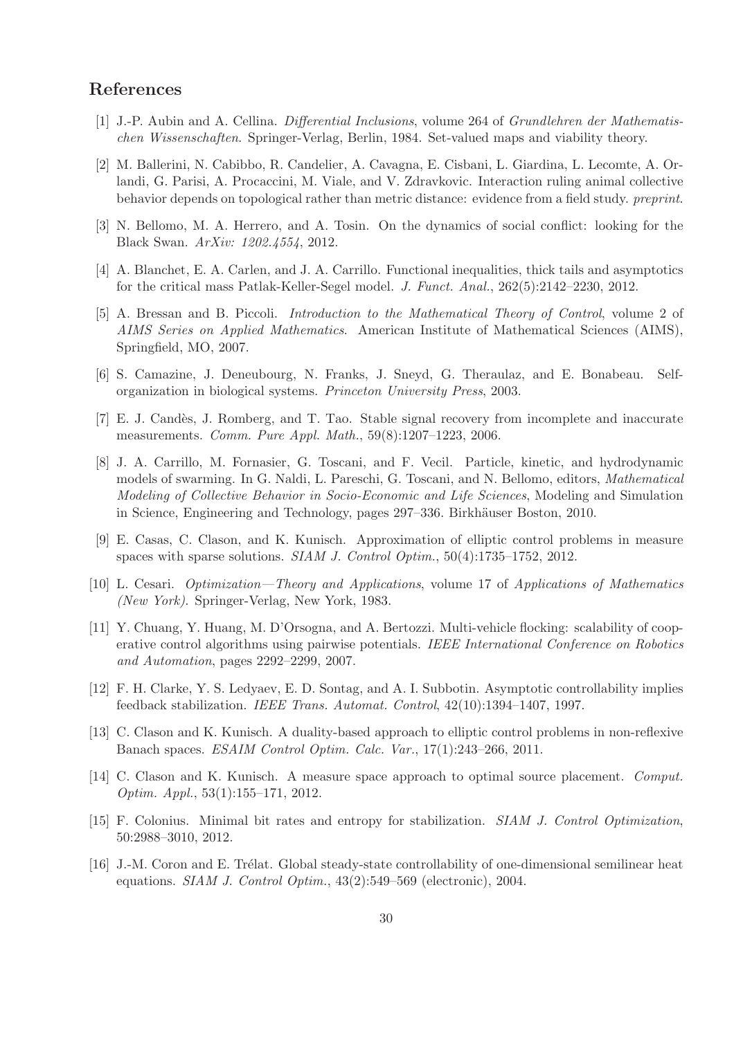## References

- [1] J.-P. Aubin and A. Cellina. *Differential Inclusions*, volume 264 of *Grundlehren der Mathematischen Wissenschaften*. Springer-Verlag, Berlin, 1984. Set-valued maps and viability theory.
- [2] M. Ballerini, N. Cabibbo, R. Candelier, A. Cavagna, E. Cisbani, L. Giardina, L. Lecomte, A. Orlandi, G. Parisi, A. Procaccini, M. Viale, and V. Zdravkovic. Interaction ruling animal collective behavior depends on topological rather than metric distance: evidence from a field study. *preprint*.
- [3] N. Bellomo, M. A. Herrero, and A. Tosin. On the dynamics of social conflict: looking for the Black Swan. *ArXiv: 1202.4554*, 2012.
- [4] A. Blanchet, E. A. Carlen, and J. A. Carrillo. Functional inequalities, thick tails and asymptotics for the critical mass Patlak-Keller-Segel model. *J. Funct. Anal.*, 262(5):2142–2230, 2012.
- [5] A. Bressan and B. Piccoli. *Introduction to the Mathematical Theory of Control*, volume 2 of *AIMS Series on Applied Mathematics*. American Institute of Mathematical Sciences (AIMS), Springfield, MO, 2007.
- [6] S. Camazine, J. Deneubourg, N. Franks, J. Sneyd, G. Theraulaz, and E. Bonabeau. Selforganization in biological systems. *Princeton University Press*, 2003.
- [7] E. J. Cand`es, J. Romberg, and T. Tao. Stable signal recovery from incomplete and inaccurate measurements. *Comm. Pure Appl. Math.*, 59(8):1207–1223, 2006.
- [8] J. A. Carrillo, M. Fornasier, G. Toscani, and F. Vecil. Particle, kinetic, and hydrodynamic models of swarming. In G. Naldi, L. Pareschi, G. Toscani, and N. Bellomo, editors, *Mathematical Modeling of Collective Behavior in Socio-Economic and Life Sciences*, Modeling and Simulation in Science, Engineering and Technology, pages 297–336. Birkhäuser Boston, 2010.
- [9] E. Casas, C. Clason, and K. Kunisch. Approximation of elliptic control problems in measure spaces with sparse solutions. *SIAM J. Control Optim.*, 50(4):1735–1752, 2012.
- [10] L. Cesari. *Optimization—Theory and Applications*, volume 17 of *Applications of Mathematics (New York)*. Springer-Verlag, New York, 1983.
- [11] Y. Chuang, Y. Huang, M. D'Orsogna, and A. Bertozzi. Multi-vehicle flocking: scalability of cooperative control algorithms using pairwise potentials. *IEEE International Conference on Robotics and Automation*, pages 2292–2299, 2007.
- [12] F. H. Clarke, Y. S. Ledyaev, E. D. Sontag, and A. I. Subbotin. Asymptotic controllability implies feedback stabilization. *IEEE Trans. Automat. Control*, 42(10):1394–1407, 1997.
- [13] C. Clason and K. Kunisch. A duality-based approach to elliptic control problems in non-reflexive Banach spaces. *ESAIM Control Optim. Calc. Var.*, 17(1):243–266, 2011.
- [14] C. Clason and K. Kunisch. A measure space approach to optimal source placement. *Comput. Optim. Appl.*, 53(1):155–171, 2012.
- [15] F. Colonius. Minimal bit rates and entropy for stabilization. *SIAM J. Control Optimization*, 50:2988–3010, 2012.
- [16] J.-M. Coron and E. Trélat. Global steady-state controllability of one-dimensional semilinear heat equations. *SIAM J. Control Optim.*, 43(2):549–569 (electronic), 2004.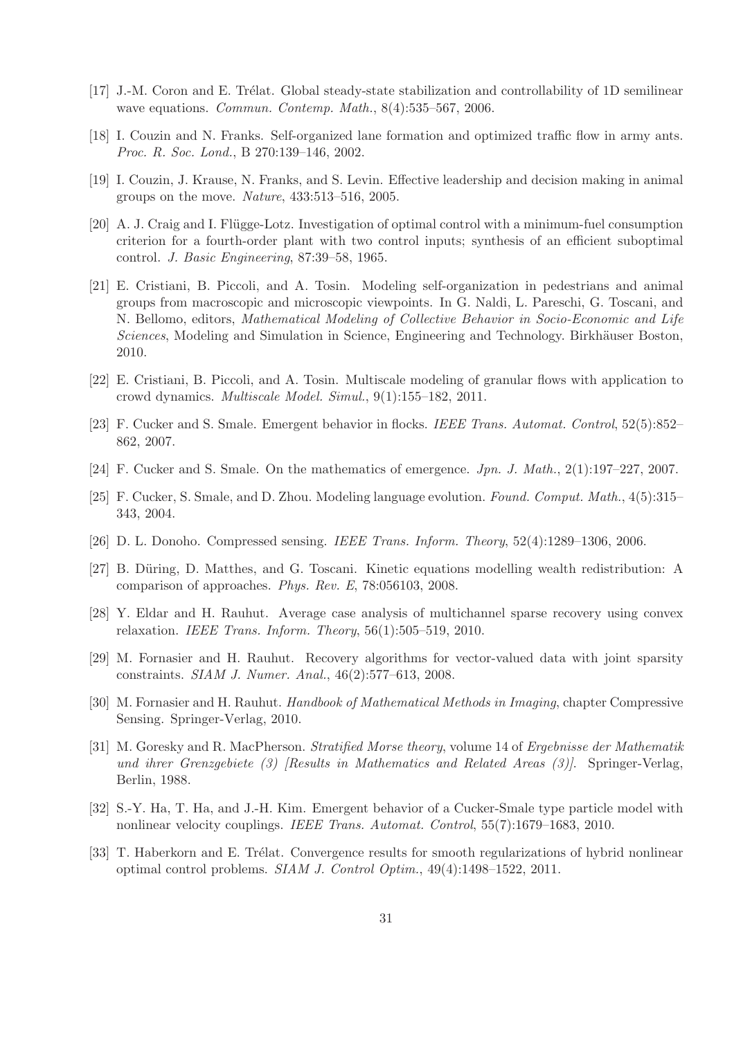- [17] J.-M. Coron and E. Trélat. Global steady-state stabilization and controllability of 1D semilinear wave equations. *Commun. Contemp. Math.*, 8(4):535–567, 2006.
- [18] I. Couzin and N. Franks. Self-organized lane formation and optimized traffic flow in army ants. *Proc. R. Soc. Lond.*, B 270:139–146, 2002.
- [19] I. Couzin, J. Krause, N. Franks, and S. Levin. Effective leadership and decision making in animal groups on the move. *Nature*, 433:513–516, 2005.
- [20] A. J. Craig and I. Flügge-Lotz. Investigation of optimal control with a minimum-fuel consumption criterion for a fourth-order plant with two control inputs; synthesis of an efficient suboptimal control. *J. Basic Engineering*, 87:39–58, 1965.
- [21] E. Cristiani, B. Piccoli, and A. Tosin. Modeling self-organization in pedestrians and animal groups from macroscopic and microscopic viewpoints. In G. Naldi, L. Pareschi, G. Toscani, and N. Bellomo, editors, *Mathematical Modeling of Collective Behavior in Socio-Economic and Life Sciences*, Modeling and Simulation in Science, Engineering and Technology. Birkhäuser Boston, 2010.
- [22] E. Cristiani, B. Piccoli, and A. Tosin. Multiscale modeling of granular flows with application to crowd dynamics. *Multiscale Model. Simul.*, 9(1):155–182, 2011.
- [23] F. Cucker and S. Smale. Emergent behavior in flocks. *IEEE Trans. Automat. Control*, 52(5):852– 862, 2007.
- [24] F. Cucker and S. Smale. On the mathematics of emergence. *Jpn. J. Math.*, 2(1):197–227, 2007.
- [25] F. Cucker, S. Smale, and D. Zhou. Modeling language evolution. *Found. Comput. Math.*, 4(5):315– 343, 2004.
- [26] D. L. Donoho. Compressed sensing. *IEEE Trans. Inform. Theory*, 52(4):1289–1306, 2006.
- [27] B. Düring, D. Matthes, and G. Toscani. Kinetic equations modelling wealth redistribution: A comparison of approaches. *Phys. Rev. E*, 78:056103, 2008.
- [28] Y. Eldar and H. Rauhut. Average case analysis of multichannel sparse recovery using convex relaxation. *IEEE Trans. Inform. Theory*, 56(1):505–519, 2010.
- [29] M. Fornasier and H. Rauhut. Recovery algorithms for vector-valued data with joint sparsity constraints. *SIAM J. Numer. Anal.*, 46(2):577–613, 2008.
- [30] M. Fornasier and H. Rauhut. *Handbook of Mathematical Methods in Imaging*, chapter Compressive Sensing. Springer-Verlag, 2010.
- [31] M. Goresky and R. MacPherson. *Stratified Morse theory*, volume 14 of *Ergebnisse der Mathematik und ihrer Grenzgebiete (3) [Results in Mathematics and Related Areas (3)]*. Springer-Verlag, Berlin, 1988.
- [32] S.-Y. Ha, T. Ha, and J.-H. Kim. Emergent behavior of a Cucker-Smale type particle model with nonlinear velocity couplings. *IEEE Trans. Automat. Control*, 55(7):1679–1683, 2010.
- [33] T. Haberkorn and E. Trélat. Convergence results for smooth regularizations of hybrid nonlinear optimal control problems. *SIAM J. Control Optim.*, 49(4):1498–1522, 2011.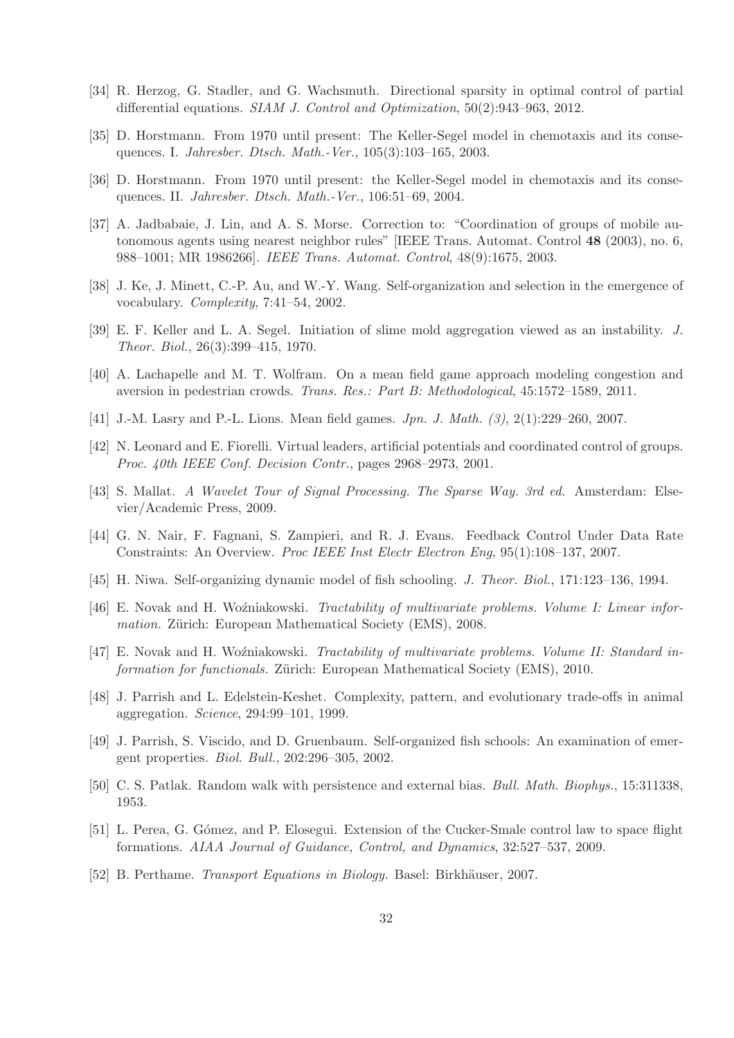- [34] R. Herzog, G. Stadler, and G. Wachsmuth. Directional sparsity in optimal control of partial differential equations. *SIAM J. Control and Optimization*, 50(2):943–963, 2012.
- [35] D. Horstmann. From 1970 until present: The Keller-Segel model in chemotaxis and its consequences. I. *Jahresber. Dtsch. Math.-Ver.*, 105(3):103–165, 2003.
- [36] D. Horstmann. From 1970 until present: the Keller-Segel model in chemotaxis and its consequences. II. *Jahresber. Dtsch. Math.-Ver.*, 106:51–69, 2004.
- [37] A. Jadbabaie, J. Lin, and A. S. Morse. Correction to: "Coordination of groups of mobile autonomous agents using nearest neighbor rules" [IEEE Trans. Automat. Control 48 (2003), no. 6, 988–1001; MR 1986266]. *IEEE Trans. Automat. Control*, 48(9):1675, 2003.
- [38] J. Ke, J. Minett, C.-P. Au, and W.-Y. Wang. Self-organization and selection in the emergence of vocabulary. *Complexity*, 7:41–54, 2002.
- [39] E. F. Keller and L. A. Segel. Initiation of slime mold aggregation viewed as an instability. *J. Theor. Biol.*, 26(3):399–415, 1970.
- [40] A. Lachapelle and M. T. Wolfram. On a mean field game approach modeling congestion and aversion in pedestrian crowds. *Trans. Res.: Part B: Methodological*, 45:1572–1589, 2011.
- [41] J.-M. Lasry and P.-L. Lions. Mean field games. *Jpn. J. Math. (3)*, 2(1):229–260, 2007.
- [42] N. Leonard and E. Fiorelli. Virtual leaders, artificial potentials and coordinated control of groups. *Proc. 40th IEEE Conf. Decision Contr.*, pages 2968–2973, 2001.
- [43] S. Mallat. *A Wavelet Tour of Signal Processing. The Sparse Way. 3rd ed.* Amsterdam: Elsevier/Academic Press, 2009.
- [44] G. N. Nair, F. Fagnani, S. Zampieri, and R. J. Evans. Feedback Control Under Data Rate Constraints: An Overview. *Proc IEEE Inst Electr Electron Eng*, 95(1):108–137, 2007.
- [45] H. Niwa. Self-organizing dynamic model of fish schooling. *J. Theor. Biol.*, 171:123–136, 1994.
- [46] E. Novak and H. Woźniakowski. *Tractability of multivariate problems. Volume I: Linear information.* Zürich: European Mathematical Society (EMS), 2008.
- [47] E. Novak and H. Woźniakowski. *Tractability of multivariate problems. Volume II: Standard information for functionals.* Zürich: European Mathematical Society (EMS), 2010.
- [48] J. Parrish and L. Edelstein-Keshet. Complexity, pattern, and evolutionary trade-offs in animal aggregation. *Science*, 294:99–101, 1999.
- [49] J. Parrish, S. Viscido, and D. Gruenbaum. Self-organized fish schools: An examination of emergent properties. *Biol. Bull.*, 202:296–305, 2002.
- [50] C. S. Patlak. Random walk with persistence and external bias. *Bull. Math. Biophys.*, 15:311338, 1953.
- [51] L. Perea, G. G´omez, and P. Elosegui. Extension of the Cucker-Smale control law to space flight formations. *AIAA Journal of Guidance, Control, and Dynamics*, 32:527–537, 2009.
- [52] B. Perthame. *Transport Equations in Biology*. Basel: Birkhäuser, 2007.